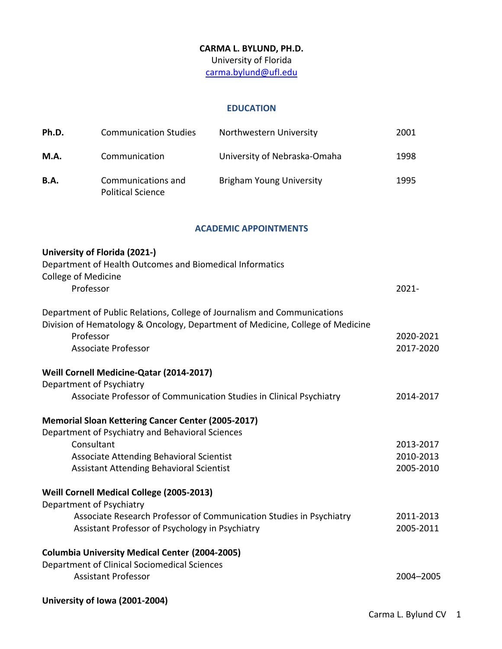## **CARMA L. BYLUND, PH.D.**

University of Florida

carma.bylund@ufl.edu

#### **EDUCATION**

| Ph.D.       | <b>Communication Studies</b>                   | Northwestern University         | 2001 |
|-------------|------------------------------------------------|---------------------------------|------|
| <b>M.A.</b> | Communication                                  | University of Nebraska-Omaha    | 1998 |
| <b>B.A.</b> | Communications and<br><b>Political Science</b> | <b>Brigham Young University</b> | 1995 |

#### **ACADEMIC APPOINTMENTS**

| University of Florida (2021-)                                                                                                                                           |           |
|-------------------------------------------------------------------------------------------------------------------------------------------------------------------------|-----------|
| Department of Health Outcomes and Biomedical Informatics                                                                                                                |           |
| <b>College of Medicine</b>                                                                                                                                              |           |
| Professor                                                                                                                                                               | $2021 -$  |
| Department of Public Relations, College of Journalism and Communications<br>Division of Hematology & Oncology, Department of Medicine, College of Medicine<br>Professor | 2020-2021 |
| <b>Associate Professor</b>                                                                                                                                              | 2017-2020 |
|                                                                                                                                                                         |           |
| Weill Cornell Medicine-Qatar (2014-2017)                                                                                                                                |           |
| Department of Psychiatry                                                                                                                                                |           |
| Associate Professor of Communication Studies in Clinical Psychiatry                                                                                                     | 2014-2017 |
| <b>Memorial Sloan Kettering Cancer Center (2005-2017)</b>                                                                                                               |           |
| Department of Psychiatry and Behavioral Sciences                                                                                                                        |           |
| Consultant                                                                                                                                                              | 2013-2017 |
| <b>Associate Attending Behavioral Scientist</b>                                                                                                                         | 2010-2013 |
| <b>Assistant Attending Behavioral Scientist</b>                                                                                                                         | 2005-2010 |
| Weill Cornell Medical College (2005-2013)                                                                                                                               |           |
| Department of Psychiatry                                                                                                                                                |           |
| Associate Research Professor of Communication Studies in Psychiatry                                                                                                     | 2011-2013 |
| Assistant Professor of Psychology in Psychiatry                                                                                                                         | 2005-2011 |
| <b>Columbia University Medical Center (2004-2005)</b>                                                                                                                   |           |
| Department of Clinical Sociomedical Sciences                                                                                                                            |           |
| <b>Assistant Professor</b>                                                                                                                                              | 2004-2005 |
|                                                                                                                                                                         |           |
| University of Iowa (2001-2004)                                                                                                                                          |           |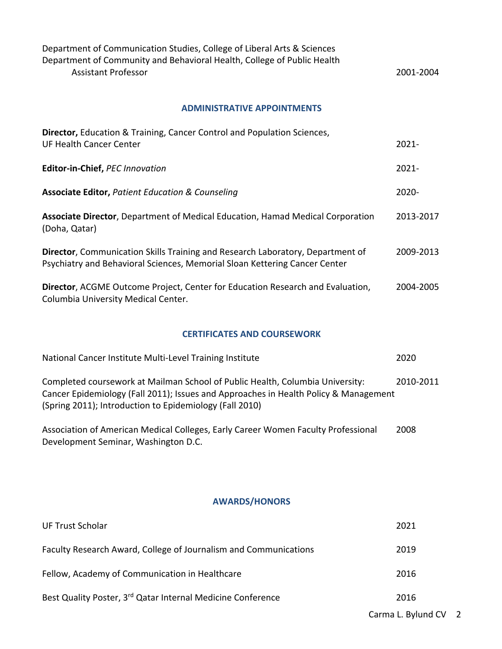| Department of Communication Studies, College of Liberal Arts & Sciences |           |
|-------------------------------------------------------------------------|-----------|
| Department of Community and Behavioral Health, College of Public Health |           |
| <b>Assistant Professor</b>                                              | 2001-2004 |

#### **ADMINISTRATIVE APPOINTMENTS**

| $2021 -$  |
|-----------|
| $2021 -$  |
| $2020 -$  |
| 2013-2017 |
| 2009-2013 |
| 2004-2005 |
|           |

## **CERTIFICATES AND COURSEWORK**

| National Cancer Institute Multi-Level Training Institute                                                                                                                                                                         | 2020      |
|----------------------------------------------------------------------------------------------------------------------------------------------------------------------------------------------------------------------------------|-----------|
| Completed coursework at Mailman School of Public Health, Columbia University:<br>Cancer Epidemiology (Fall 2011); Issues and Approaches in Health Policy & Management<br>(Spring 2011); Introduction to Epidemiology (Fall 2010) | 2010-2011 |
|                                                                                                                                                                                                                                  |           |

Association of American Medical Colleges, Early Career Women Faculty Professional 2008 Development Seminar, Washington D.C.

# **AWARDS/HONORS**

| <b>UF Trust Scholar</b>                                          | 2021                 |  |
|------------------------------------------------------------------|----------------------|--|
| Faculty Research Award, College of Journalism and Communications | 2019                 |  |
| Fellow, Academy of Communication in Healthcare                   | 2016                 |  |
| Best Quality Poster, 3rd Qatar Internal Medicine Conference      | 2016                 |  |
|                                                                  | Carma L. Bylund CV 2 |  |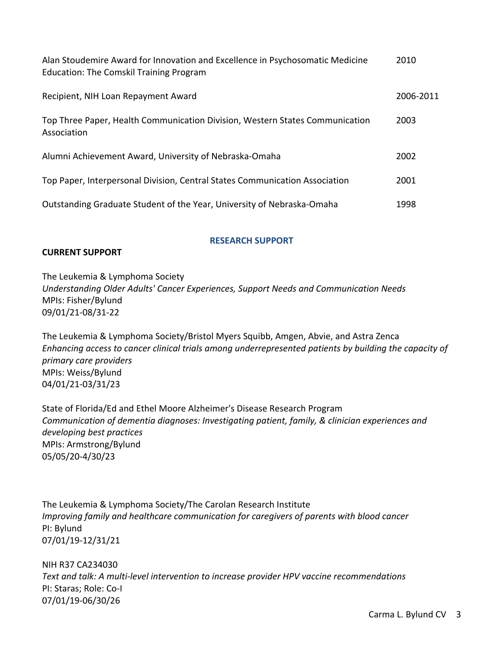| Alan Stoudemire Award for Innovation and Excellence in Psychosomatic Medicine<br><b>Education: The Comskil Training Program</b> | 2010      |
|---------------------------------------------------------------------------------------------------------------------------------|-----------|
| Recipient, NIH Loan Repayment Award                                                                                             | 2006-2011 |
| Top Three Paper, Health Communication Division, Western States Communication<br>Association                                     | 2003      |
| Alumni Achievement Award, University of Nebraska-Omaha                                                                          | 2002      |
| Top Paper, Interpersonal Division, Central States Communication Association                                                     | 2001      |
| Outstanding Graduate Student of the Year, University of Nebraska-Omaha                                                          | 1998      |

## **RESEARCH SUPPORT**

## **CURRENT SUPPORT**

The Leukemia & Lymphoma Society *Understanding Older Adults' Cancer Experiences, Support Needs and Communication Needs* MPIs: Fisher/Bylund 09/01/21-08/31-22

The Leukemia & Lymphoma Society/Bristol Myers Squibb, Amgen, Abvie, and Astra Zenca *Enhancing access to cancer clinical trials among underrepresented patients by building the capacity of primary care providers* MPIs: Weiss/Bylund 04/01/21-03/31/23

State of Florida/Ed and Ethel Moore Alzheimer's Disease Research Program *Communication of dementia diagnoses: Investigating patient, family, & clinician experiences and developing best practices* MPIs: Armstrong/Bylund 05/05/20-4/30/23

The Leukemia & Lymphoma Society/The Carolan Research Institute *Improving family and healthcare communication for caregivers of parents with blood cancer* PI: Bylund 07/01/19-12/31/21

NIH R37 CA234030 *Text and talk: A multi-level intervention to increase provider HPV vaccine recommendations* PI: Staras; Role: Co-I 07/01/19-06/30/26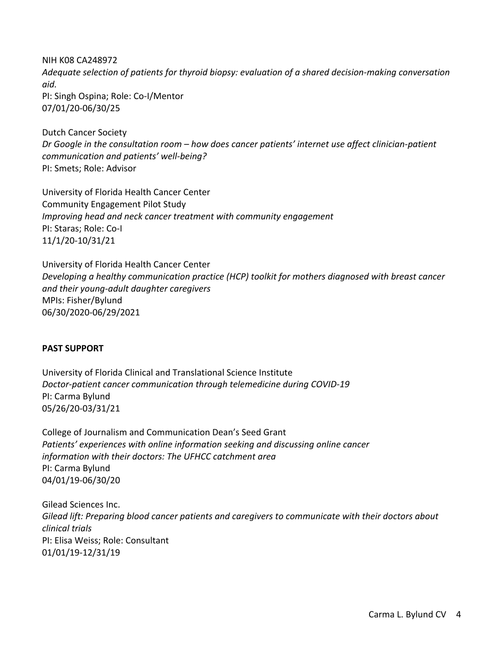NIH K08 CA248972 *Adequate selection of patients for thyroid biopsy: evaluation of a shared decision-making conversation aid.* PI: Singh Ospina; Role: Co-I/Mentor 07/01/20-06/30/25

Dutch Cancer Society *Dr Google in the consultation room – how does cancer patients' internet use affect clinician-patient communication and patients' well-being?* PI: Smets; Role: Advisor

University of Florida Health Cancer Center Community Engagement Pilot Study *Improving head and neck cancer treatment with community engagement* PI: Staras; Role: Co-I 11/1/20-10/31/21

University of Florida Health Cancer Center *Developing a healthy communication practice (HCP) toolkit for mothers diagnosed with breast cancer and their young-adult daughter caregivers* MPIs: Fisher/Bylund 06/30/2020-06/29/2021

#### **PAST SUPPORT**

University of Florida Clinical and Translational Science Institute *Doctor-patient cancer communication through telemedicine during COVID-19* PI: Carma Bylund 05/26/20-03/31/21

College of Journalism and Communication Dean's Seed Grant *Patients' experiences with online information seeking and discussing online cancer information with their doctors: The UFHCC catchment area* PI: Carma Bylund 04/01/19-06/30/20

Gilead Sciences Inc. *Gilead lift: Preparing blood cancer patients and caregivers to communicate with their doctors about clinical trials* PI: Elisa Weiss; Role: Consultant 01/01/19-12/31/19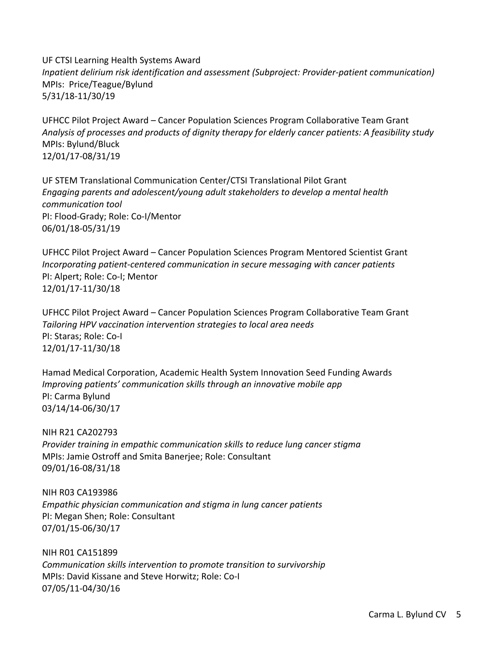UF CTSI Learning Health Systems Award *Inpatient delirium risk identification and assessment (Subproject: Provider-patient communication)* MPIs: Price/Teague/Bylund 5/31/18-11/30/19

UFHCC Pilot Project Award – Cancer Population Sciences Program Collaborative Team Grant *Analysis of processes and products of dignity therapy for elderly cancer patients: A feasibility study* MPIs: Bylund/Bluck 12/01/17-08/31/19

UF STEM Translational Communication Center/CTSI Translational Pilot Grant *Engaging parents and adolescent/young adult stakeholders to develop a mental health communication tool* PI: Flood-Grady; Role: Co-I/Mentor 06/01/18-05/31/19

UFHCC Pilot Project Award – Cancer Population Sciences Program Mentored Scientist Grant *Incorporating patient-centered communication in secure messaging with cancer patients* PI: Alpert; Role: Co-I; Mentor 12/01/17-11/30/18

UFHCC Pilot Project Award – Cancer Population Sciences Program Collaborative Team Grant *Tailoring HPV vaccination intervention strategies to local area needs* PI: Staras; Role: Co-I 12/01/17-11/30/18

Hamad Medical Corporation, Academic Health System Innovation Seed Funding Awards *Improving patients' communication skills through an innovative mobile app* PI: Carma Bylund 03/14/14-06/30/17

NIH R21 CA202793 *Provider training in empathic communication skills to reduce lung cancer stigma* MPIs: Jamie Ostroff and Smita Banerjee; Role: Consultant 09/01/16-08/31/18

NIH R03 CA193986 *Empathic physician communication and stigma in lung cancer patients* PI: Megan Shen; Role: Consultant 07/01/15-06/30/17

NIH R01 CA151899 *Communication skills intervention to promote transition to survivorship* MPIs: David Kissane and Steve Horwitz; Role: Co-I 07/05/11-04/30/16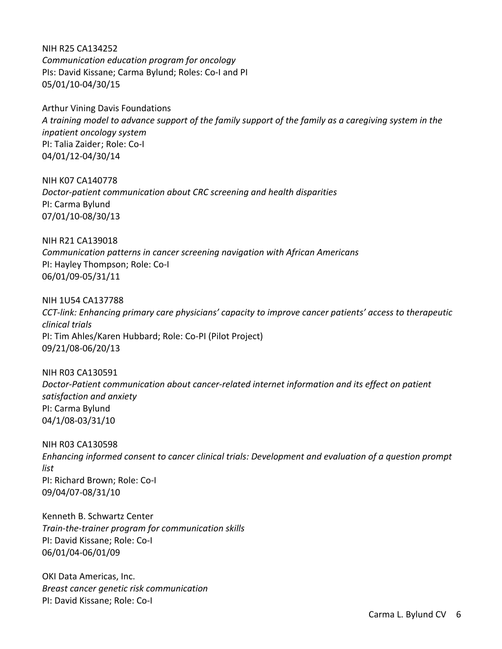NIH R25 CA134252 *Communication education program for oncology* PIs: David Kissane; Carma Bylund; Roles: Co-I and PI 05/01/10-04/30/15

Arthur Vining Davis Foundations *A training model to advance support of the family support of the family as a caregiving system in the inpatient oncology system* PI: Talia Zaider; Role: Co-I 04/01/12-04/30/14

NIH K07 CA140778 *Doctor-patient communication about CRC screening and health disparities*  PI: Carma Bylund 07/01/10-08/30/13

NIH R21 CA139018 *Communication patterns in cancer screening navigation with African Americans* PI: Hayley Thompson; Role: Co-I 06/01/09-05/31/11

NIH 1U54 CA137788 *CCT-link: Enhancing primary care physicians' capacity to improve cancer patients' access to therapeutic clinical trials* PI: Tim Ahles/Karen Hubbard; Role: Co-PI (Pilot Project) 09/21/08-06/20/13

NIH R03 CA130591 *Doctor-Patient communication about cancer-related internet information and its effect on patient satisfaction and anxiety* PI: Carma Bylund 04/1/08-03/31/10

NIH R03 CA130598 *Enhancing informed consent to cancer clinical trials: Development and evaluation of a question prompt list* PI: Richard Brown; Role: Co-I 09/04/07-08/31/10

Kenneth B. Schwartz Center *Train-the-trainer program for communication skills* PI: David Kissane; Role: Co-I 06/01/04-06/01/09

OKI Data Americas, Inc. *Breast cancer genetic risk communication* PI: David Kissane; Role: Co-I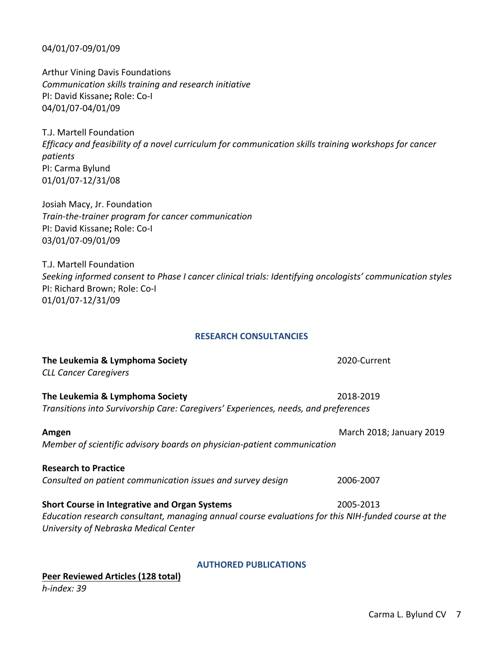04/01/07-09/01/09

Arthur Vining Davis Foundations *Communication skills training and research initiative* PI: David Kissane**;** Role: Co-I 04/01/07-04/01/09

T.J. Martell Foundation *Efficacy and feasibility of a novel curriculum for communication skills training workshops for cancer patients* PI: Carma Bylund 01/01/07-12/31/08

Josiah Macy, Jr. Foundation *Train-the-trainer program for cancer communication* PI: David Kissane**;** Role: Co-I 03/01/07-09/01/09

T.J. Martell Foundation *Seeking informed consent to Phase I cancer clinical trials: Identifying oncologists' communication styles* PI: Richard Brown; Role: Co-I 01/01/07-12/31/09

#### **RESEARCH CONSULTANCIES**

| The Leukemia & Lymphoma Society                                                                     | 2020-Current             |
|-----------------------------------------------------------------------------------------------------|--------------------------|
| <b>CLL Cancer Caregivers</b>                                                                        |                          |
| The Leukemia & Lymphoma Society                                                                     | 2018-2019                |
| Transitions into Survivorship Care: Caregivers' Experiences, needs, and preferences                 |                          |
| Amgen                                                                                               | March 2018; January 2019 |
| Member of scientific advisory boards on physician-patient communication                             |                          |
| <b>Research to Practice</b>                                                                         |                          |
| Consulted on patient communication issues and survey design                                         | 2006-2007                |
| <b>Short Course in Integrative and Organ Systems</b>                                                | 2005-2013                |
| Education research consultant, managing annual course evaluations for this NIH-funded course at the |                          |
| University of Nebraska Medical Center                                                               |                          |

# **AUTHORED PUBLICATIONS**

#### **Peer Reviewed Articles (128 total)** *h-index: 39*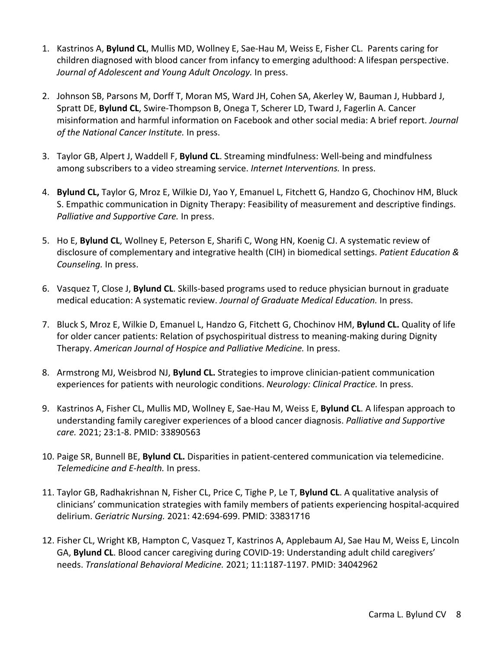- 1. Kastrinos A, **Bylund CL**, Mullis MD, Wollney E, Sae-Hau M, Weiss E, Fisher CL. Parents caring for children diagnosed with blood cancer from infancy to emerging adulthood: A lifespan perspective. *Journal of Adolescent and Young Adult Oncology.* In press.
- 2. Johnson SB, Parsons M, Dorff T, Moran MS, Ward JH, Cohen SA, Akerley W, Bauman J, Hubbard J, Spratt DE, **Bylund CL**, Swire-Thompson B, Onega T, Scherer LD, Tward J, Fagerlin A. Cancer misinformation and harmful information on Facebook and other social media: A brief report. *Journal of the National Cancer Institute.* In press.
- 3. Taylor GB, Alpert J, Waddell F, **Bylund CL**. Streaming mindfulness: Well-being and mindfulness among subscribers to a video streaming service. *Internet Interventions.* In press.
- 4. **Bylund CL,** Taylor G, Mroz E, Wilkie DJ, Yao Y, Emanuel L, Fitchett G, Handzo G, Chochinov HM, Bluck S. Empathic communication in Dignity Therapy: Feasibility of measurement and descriptive findings. *Palliative and Supportive Care.* In press.
- 5. Ho E, **Bylund CL**, Wollney E, Peterson E, Sharifi C, Wong HN, Koenig CJ. A systematic review of disclosure of complementary and integrative health (CIH) in biomedical settings. *Patient Education & Counseling.* In press.
- 6. Vasquez T, Close J, **Bylund CL**. Skills-based programs used to reduce physician burnout in graduate medical education: A systematic review. *Journal of Graduate Medical Education.* In press.
- 7. Bluck S, Mroz E, Wilkie D, Emanuel L, Handzo G, Fitchett G, Chochinov HM, **Bylund CL.** Quality of life for older cancer patients: Relation of psychospiritual distress to meaning-making during Dignity Therapy. *American Journal of Hospice and Palliative Medicine.* In press.
- 8. Armstrong MJ, Weisbrod NJ, **Bylund CL.** Strategies to improve clinician-patient communication experiences for patients with neurologic conditions. *Neurology: Clinical Practice.* In press.
- 9. Kastrinos A, Fisher CL, Mullis MD, Wollney E, Sae-Hau M, Weiss E, **Bylund CL**. A lifespan approach to understanding family caregiver experiences of a blood cancer diagnosis. *Palliative and Supportive care.* 2021; 23:1-8. PMID: 33890563
- 10. Paige SR, Bunnell BE, **Bylund CL.** Disparities in patient-centered communication via telemedicine. *Telemedicine and E-health.* In press.
- 11. Taylor GB, Radhakrishnan N, Fisher CL, Price C, Tighe P, Le T, **Bylund CL**. A qualitative analysis of clinicians' communication strategies with family members of patients experiencing hospital-acquired delirium. *Geriatric Nursing.* 2021: 42:694-699. PMID: 33831716
- 12. Fisher CL, Wright KB, Hampton C, Vasquez T, Kastrinos A, Applebaum AJ, Sae Hau M, Weiss E, Lincoln GA, **Bylund CL**. Blood cancer caregiving during COVID-19: Understanding adult child caregivers' needs. *Translational Behavioral Medicine.* 2021; 11:1187-1197. PMID: 34042962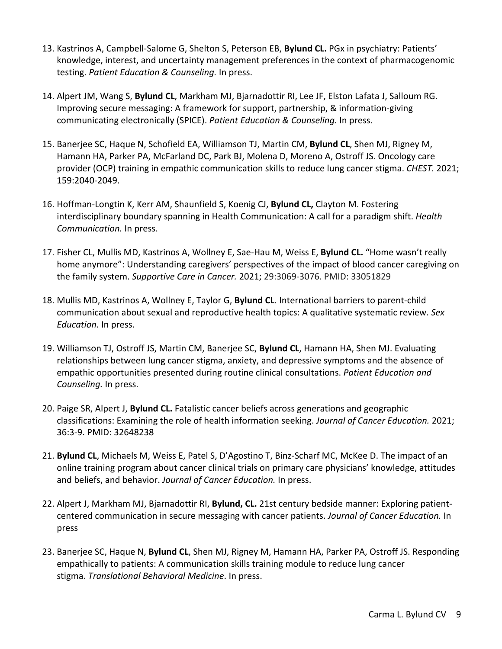- 13. Kastrinos A, Campbell-Salome G, Shelton S, Peterson EB, **Bylund CL.** PGx in psychiatry: Patients' knowledge, interest, and uncertainty management preferences in the context of pharmacogenomic testing. *Patient Education & Counseling.* In press.
- 14. Alpert JM, Wang S, **Bylund CL**, Markham MJ, Bjarnadottir RI, Lee JF, Elston Lafata J, Salloum RG. Improving secure messaging: A framework for support, partnership, & information-giving communicating electronically (SPICE). *Patient Education & Counseling.* In press.
- 15. Banerjee SC, Haque N, Schofield EA, Williamson TJ, Martin CM, **Bylund CL**, Shen MJ, Rigney M, Hamann HA, Parker PA, McFarland DC, Park BJ, Molena D, Moreno A, Ostroff JS. Oncology care provider (OCP) training in empathic communication skills to reduce lung cancer stigma. *CHEST.* 2021; 159:2040-2049.
- 16. Hoffman-Longtin K, Kerr AM, Shaunfield S, Koenig CJ, **Bylund CL,** Clayton M. Fostering interdisciplinary boundary spanning in Health Communication: A call for a paradigm shift. *Health Communication.* In press.
- 17. Fisher CL, Mullis MD, Kastrinos A, Wollney E, Sae-Hau M, Weiss E, **Bylund CL.** "Home wasn't really home anymore": Understanding caregivers' perspectives of the impact of blood cancer caregiving on the family system. *Supportive Care in Cancer.* 2021; 29:3069-3076. PMID: 33051829
- 18. Mullis MD, Kastrinos A, Wollney E, Taylor G, **Bylund CL**. International barriers to parent-child communication about sexual and reproductive health topics: A qualitative systematic review. *Sex Education.* In press.
- 19. Williamson TJ, Ostroff JS, Martin CM, Banerjee SC, **Bylund CL**, Hamann HA, Shen MJ. Evaluating relationships between lung cancer stigma, anxiety, and depressive symptoms and the absence of empathic opportunities presented during routine clinical consultations. *Patient Education and Counseling.* In press.
- 20. Paige SR, Alpert J, **Bylund CL.** Fatalistic cancer beliefs across generations and geographic classifications: Examining the role of health information seeking. *Journal of Cancer Education.* 2021; 36:3-9. PMID: 32648238
- 21. **Bylund CL**, Michaels M, Weiss E, Patel S, D'Agostino T, Binz-Scharf MC, McKee D. The impact of an online training program about cancer clinical trials on primary care physicians' knowledge, attitudes and beliefs, and behavior. *Journal of Cancer Education.* In press.
- 22. Alpert J, Markham MJ, Bjarnadottir RI, **Bylund, CL.** 21st century bedside manner: Exploring patientcentered communication in secure messaging with cancer patients. *Journal of Cancer Education.* In press
- 23. Banerjee SC, Haque N, **Bylund CL**, Shen MJ, Rigney M, Hamann HA, Parker PA, Ostroff JS. Responding empathically to patients: A communication skills training module to reduce lung cancer stigma. *Translational Behavioral Medicine*. In press.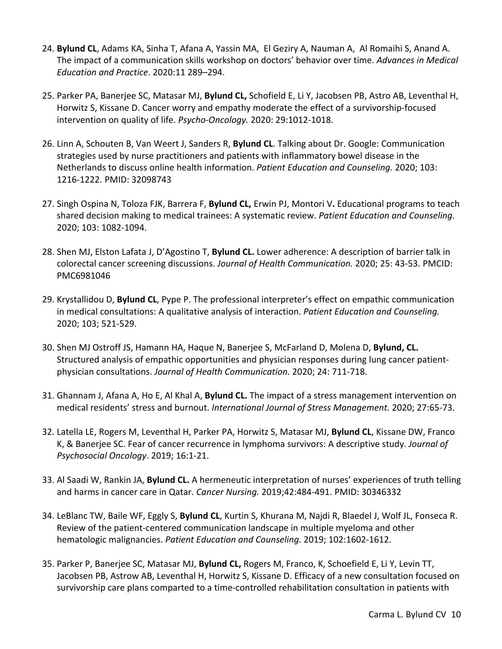- 24. **Bylund CL**, Adams KA, Sinha T, Afana A, Yassin MA, El Geziry A, Nauman A, Al Romaihi S, Anand A. The impact of a communication skills workshop on doctors' behavior over time. *Advances in Medical Education and Practice*. 2020:11 289–294.
- 25. Parker PA, Banerjee SC, Matasar MJ, **Bylund CL,** Schofield E, Li Y, Jacobsen PB, Astro AB, Leventhal H, Horwitz S, Kissane D. Cancer worry and empathy moderate the effect of a survivorship-focused intervention on quality of life. *Psycho-Oncology.* 2020: 29:1012-1018.
- 26. Linn A, Schouten B, Van Weert J, Sanders R, **Bylund CL**. Talking about Dr. Google: Communication strategies used by nurse practitioners and patients with inflammatory bowel disease in the Netherlands to discuss online health information. *Patient Education and Counseling.* 2020; 103: 1216-1222. PMID: 32098743
- 27. Singh Ospina N, Toloza FJK, Barrera F, **Bylund CL,** Erwin PJ, Montori V**.** Educational programs to teach shared decision making to medical trainees: A systematic review. *Patient Education and Counseling.*  2020; 103: 1082-1094.
- 28. Shen MJ, Elston Lafata J, D'Agostino T, **Bylund CL.** Lower adherence: A description of barrier talk in colorectal cancer screening discussions. *Journal of Health Communication.* 2020; 25: 43-53. PMCID: PMC6981046
- 29. Krystallidou D, **Bylund CL**, Pype P. The professional interpreter's effect on empathic communication in medical consultations: A qualitative analysis of interaction. *Patient Education and Counseling.*  2020; 103; 521-529.
- 30. Shen MJ Ostroff JS, Hamann HA, Haque N, Banerjee S, McFarland D, Molena D, **Bylund, CL.**  Structured analysis of empathic opportunities and physician responses during lung cancer patientphysician consultations. *Journal of Health Communication.* 2020; 24: 711-718.
- 31. Ghannam J, Afana A, Ho E, Al Khal A, **Bylund CL.** The impact of a stress management intervention on medical residents' stress and burnout. *International Journal of Stress Management.* 2020; 27:65-73.
- 32. Latella LE, Rogers M, Leventhal H, Parker PA, Horwitz S, Matasar MJ, **Bylund CL**, Kissane DW, Franco K, & Banerjee SC. Fear of cancer recurrence in lymphoma survivors: A descriptive study. *Journal of Psychosocial Oncology*. 2019; 16:1-21.
- 33. Al Saadi W, Rankin JA, **Bylund CL.** A hermeneutic interpretation of nurses' experiences of truth telling and harms in cancer care in Qatar. *Cancer Nursing.* 2019;42:484-491. PMID: 30346332
- 34. LeBlanc TW, Baile WF, Eggly S, **Bylund CL**, Kurtin S, Khurana M, Najdi R, Blaedel J, Wolf JL, Fonseca R. Review of the patient-centered communication landscape in multiple myeloma and other hematologic malignancies. *Patient Education and Counseling.* 2019; 102:1602-1612.
- 35. Parker P, Banerjee SC, Matasar MJ, **Bylund CL,** Rogers M, Franco, K, Schoefield E, Li Y, Levin TT, Jacobsen PB, Astrow AB, Leventhal H, Horwitz S, Kissane D. Efficacy of a new consultation focused on survivorship care plans comparted to a time-controlled rehabilitation consultation in patients with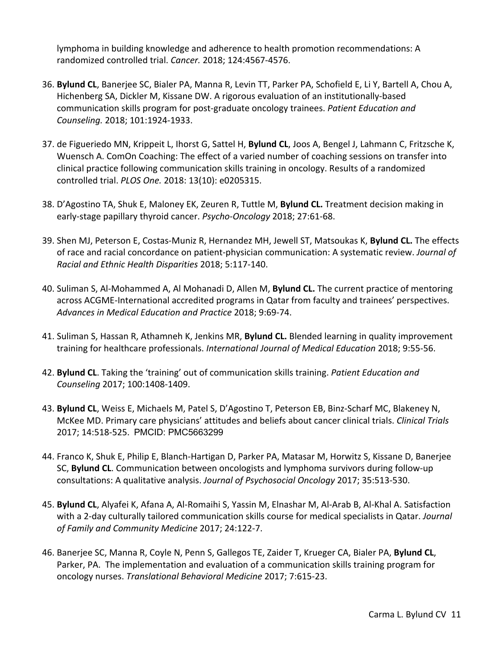lymphoma in building knowledge and adherence to health promotion recommendations: A randomized controlled trial. *Cancer.* 2018; 124:4567-4576.

- 36. **Bylund CL**, Banerjee SC, Bialer PA, Manna R, Levin TT, Parker PA, Schofield E, Li Y, Bartell A, Chou A, Hichenberg SA, Dickler M, Kissane DW. A rigorous evaluation of an institutionally-based communication skills program for post-graduate oncology trainees. *Patient Education and Counseling.* 2018; 101:1924-1933.
- 37. de Figueriedo MN, Krippeit L, Ihorst G, Sattel H, **Bylund CL**, Joos A, Bengel J, Lahmann C, Fritzsche K, Wuensch A. ComOn Coaching: The effect of a varied number of coaching sessions on transfer into clinical practice following communication skills training in oncology. Results of a randomized controlled trial. *PLOS One.* 2018: 13(10): e0205315.
- 38. D'Agostino TA, Shuk E, Maloney EK, Zeuren R, Tuttle M, **Bylund CL.** Treatment decision making in early-stage papillary thyroid cancer. *Psycho-Oncology* 2018; 27:61-68.
- 39. Shen MJ, Peterson E, Costas-Muniz R, Hernandez MH, Jewell ST, Matsoukas K, **Bylund CL.** The effects of race and racial concordance on patient-physician communication: A systematic review. *Journal of Racial and Ethnic Health Disparities* 2018; 5:117-140.
- 40. Suliman S, Al-Mohammed A, Al Mohanadi D, Allen M, **Bylund CL.** The current practice of mentoring across ACGME-International accredited programs in Qatar from faculty and trainees' perspectives. *Advances in Medical Education and Practice* 2018; 9:69-74.
- 41. Suliman S, Hassan R, Athamneh K, Jenkins MR, **Bylund CL.** Blended learning in quality improvement training for healthcare professionals. *International Journal of Medical Education* 2018; 9:55-56.
- 42. **Bylund CL**. Taking the 'training' out of communication skills training. *Patient Education and Counseling* 2017; 100:1408-1409.
- 43. **Bylund CL**, Weiss E, Michaels M, Patel S, D'Agostino T, Peterson EB, Binz-Scharf MC, Blakeney N, McKee MD. Primary care physicians' attitudes and beliefs about cancer clinical trials. *Clinical Trials*  2017; 14:518-525. PMCID: PMC5663299
- 44. Franco K, Shuk E, Philip E, Blanch-Hartigan D, Parker PA, Matasar M, Horwitz S, Kissane D, Banerjee SC, **Bylund CL**. Communication between oncologists and lymphoma survivors during follow-up consultations: A qualitative analysis. *Journal of Psychosocial Oncology* 2017; 35:513-530.
- 45. **Bylund CL**, Alyafei K, Afana A, Al-Romaihi S, Yassin M, Elnashar M, Al-Arab B, Al-Khal A. Satisfaction with a 2-day culturally tailored communication skills course for medical specialists in Qatar. *Journal of Family and Community Medicine* 2017; 24:122-7.
- 46. Banerjee SC, Manna R, Coyle N, Penn S, Gallegos TE, Zaider T, Krueger CA, Bialer PA, **Bylund CL**, Parker, PA. The implementation and evaluation of a communication skills training program for oncology nurses. *Translational Behavioral Medicine* 2017; 7:615-23.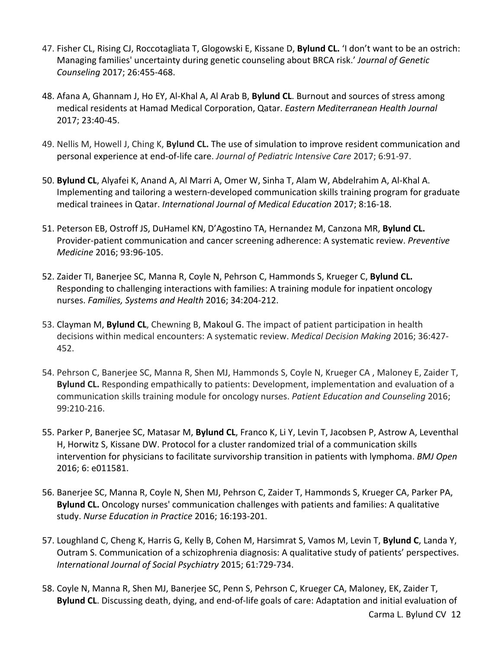- 47. Fisher CL, Rising CJ, Roccotagliata T, Glogowski E, Kissane D, **Bylund CL.** 'I don't want to be an ostrich: Managing families' uncertainty during genetic counseling about BRCA risk.' *Journal of Genetic Counseling* 2017; 26:455-468.
- 48. Afana A, Ghannam J, Ho EY, Al-Khal A, Al Arab B, **Bylund CL**. Burnout and sources of stress among medical residents at Hamad Medical Corporation, Qatar. *Eastern Mediterranean Health Journal* 2017; 23:40-45.
- 49. Nellis M, Howell J, Ching K, **Bylund CL.** The use of simulation to improve resident communication and personal experience at end-of-life care. *Journal of Pediatric Intensive Care* 2017; 6:91-97.
- 50. **Bylund CL**, Alyafei K, Anand A, Al Marri A, Omer W, Sinha T, Alam W, Abdelrahim A, Al-Khal A. Implementing and tailoring a western-developed communication skills training program for graduate medical trainees in Qatar. *International Journal of Medical Education* 2017; 8:16-18.
- 51. Peterson EB, Ostroff JS, DuHamel KN, D'Agostino TA, Hernandez M, Canzona MR, **Bylund CL.** Provider-patient communication and cancer screening adherence: A systematic review. *Preventive Medicine* 2016; 93:96-105.
- 52. Zaider TI, Banerjee SC, Manna R, Coyle N, Pehrson C, Hammonds S, Krueger C, **Bylund CL.** Responding to challenging interactions with families: A training module for inpatient oncology nurses. *Families, Systems and Health* 2016; 34:204-212.
- 53. Clayman M, **Bylund CL**, Chewning B, Makoul G. The impact of patient participation in health decisions within medical encounters: A systematic review. *Medical Decision Making* 2016; 36:427- 452.
- 54. Pehrson C, Banerjee SC, Manna R, Shen MJ, Hammonds S, Coyle N, Krueger CA , Maloney E, Zaider T, **Bylund CL.** Responding empathically to patients: Development, implementation and evaluation of a communication skills training module for oncology nurses. *Patient Education and Counseling* 2016; 99:210-216.
- 55. Parker P, Banerjee SC, Matasar M, **Bylund CL**, Franco K, Li Y, Levin T, Jacobsen P, Astrow A, Leventhal H, Horwitz S, Kissane DW. Protocol for a cluster randomized trial of a communication skills intervention for physicians to facilitate survivorship transition in patients with lymphoma. *BMJ Open*  2016; 6: e011581.
- 56. Banerjee SC, Manna R, Coyle N, Shen MJ, Pehrson C, Zaider T, Hammonds S, Krueger CA, Parker PA, **Bylund CL.** Oncology nurses' communication challenges with patients and families: A qualitative study. *Nurse Education in Practice* 2016; 16:193-201.
- 57. Loughland C, Cheng K, Harris G, Kelly B, Cohen M, Harsimrat S, Vamos M, Levin T, **Bylund C**, Landa Y, Outram S. Communication of a schizophrenia diagnosis: A qualitative study of patients' perspectives. *International Journal of Social Psychiatry* 2015; 61:729-734.
- 58. Coyle N, Manna R, Shen MJ, Banerjee SC, Penn S, Pehrson C, Krueger CA, Maloney, EK, Zaider T, **Bylund CL**. Discussing death, dying, and end-of-life goals of care: Adaptation and initial evaluation of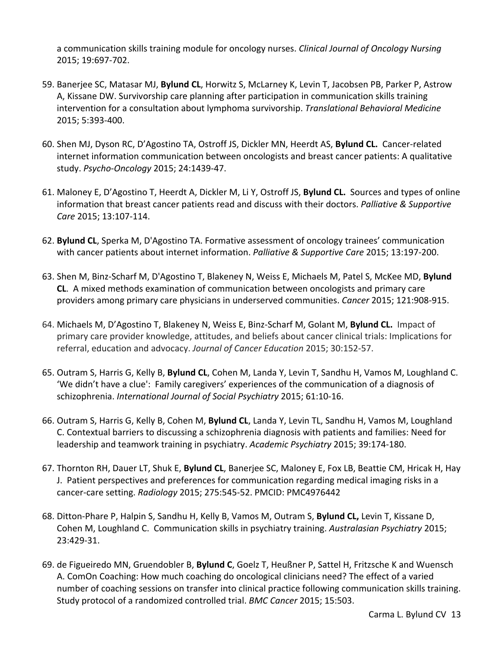a communication skills training module for oncology nurses. *Clinical Journal of Oncology Nursing*  2015; 19:697-702.

- 59. Banerjee SC, Matasar MJ, **Bylund CL**, Horwitz S, McLarney K, Levin T, Jacobsen PB, Parker P, Astrow A, Kissane DW. Survivorship care planning after participation in communication skills training intervention for a consultation about lymphoma survivorship. *Translational Behavioral Medicine* 2015; 5:393-400.
- 60. Shen MJ, Dyson RC, D'Agostino TA, Ostroff JS, Dickler MN, Heerdt AS, **Bylund CL.** Cancer-related internet information communication between oncologists and breast cancer patients: A qualitative study. *Psycho-Oncology* 2015; 24:1439-47.
- 61. Maloney E, D'Agostino T, Heerdt A, Dickler M, Li Y, Ostroff JS, **Bylund CL.** Sources and types of online information that breast cancer patients read and discuss with their doctors. *Palliative & Supportive Care* 2015; 13:107-114.
- 62. **Bylund CL**, Sperka M, D'Agostino TA. Formative assessment of oncology trainees' communication with cancer patients about internet information. *Palliative & Supportive Care* 2015; 13:197-200.
- 63. Shen M, Binz-Scharf M, D'Agostino T, Blakeney N, Weiss E, Michaels M, Patel S, McKee MD, **Bylund CL**. A mixed methods examination of communication between oncologists and primary care providers among primary care physicians in underserved communities. *Cancer* 2015; 121:908-915.
- 64. Michaels M, D'Agostino T, Blakeney N, Weiss E, Binz-Scharf M, Golant M, **Bylund CL.** Impact of primary care provider knowledge, attitudes, and beliefs about cancer clinical trials: Implications for referral, education and advocacy. *Journal of Cancer Education* 2015; 30:152-57.
- 65. Outram S, Harris G, Kelly B, **Bylund CL**, Cohen M, Landa Y, Levin T, Sandhu H, Vamos M, Loughland C. 'We didn't have a clue': Family caregivers' experiences of the communication of a diagnosis of schizophrenia. *International Journal of Social Psychiatry* 2015; 61:10-16.
- 66. Outram S, Harris G, Kelly B, Cohen M, **Bylund CL**, Landa Y, Levin TL, Sandhu H, Vamos M, Loughland C. Contextual barriers to discussing a schizophrenia diagnosis with patients and families: Need for leadership and teamwork training in psychiatry. *Academic Psychiatry* 2015; 39:174-180.
- 67. Thornton RH, Dauer LT, Shuk E, **Bylund CL**, Banerjee SC, Maloney E, Fox LB, Beattie CM, Hricak H, Hay J. Patient perspectives and preferences for communication regarding medical imaging risks in a cancer-care setting. *Radiology* 2015; 275:545-52. PMCID: PMC4976442
- 68. Ditton-Phare P, Halpin S, Sandhu H, Kelly B, Vamos M, Outram S, **Bylund CL,** Levin T, Kissane D, Cohen M, Loughland C. Communication skills in psychiatry training. *Australasian Psychiatry* 2015; 23:429-31.
- 69. de Figueiredo MN, Gruendobler B, **Bylund C**, Goelz T, Heußner P, Sattel H, Fritzsche K and Wuensch A. ComOn Coaching: How much coaching do oncological clinicians need? The effect of a varied number of coaching sessions on transfer into clinical practice following communication skills training. Study protocol of a randomized controlled trial. *BMC Cancer* 2015; 15:503.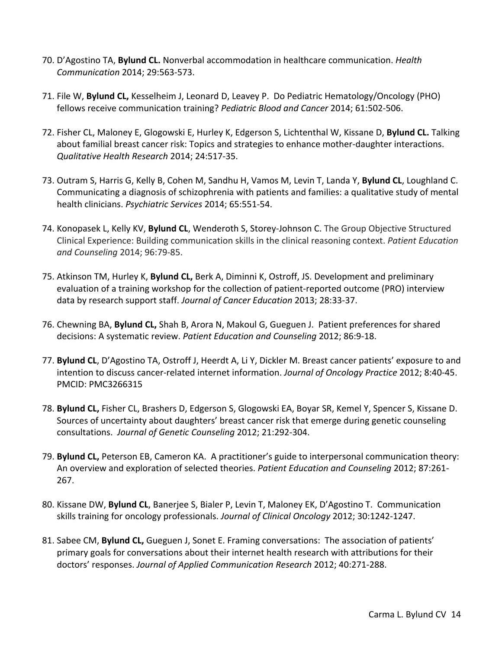- 70. D'Agostino TA, **Bylund CL.** Nonverbal accommodation in healthcare communication. *Health Communication* 2014; 29:563-573.
- 71. File W, **Bylund CL,** Kesselheim J, Leonard D, Leavey P. Do Pediatric Hematology/Oncology (PHO) fellows receive communication training? *Pediatric Blood and Cancer* 2014; 61:502-506.
- 72. Fisher CL, Maloney E, Glogowski E, Hurley K, Edgerson S, Lichtenthal W, Kissane D, **Bylund CL.** Talking about familial breast cancer risk: Topics and strategies to enhance mother-daughter interactions. *Qualitative Health Research* 2014; 24:517-35.
- 73. Outram S, Harris G, Kelly B, Cohen M, Sandhu H, Vamos M, Levin T, Landa Y, **Bylund CL**, Loughland C. Communicating a diagnosis of schizophrenia with patients and families: a qualitative study of mental health clinicians. *Psychiatric Services* 2014; 65:551-54.
- 74. Konopasek L, Kelly KV, **Bylund CL**, Wenderoth S, Storey-Johnson C. The Group Objective Structured Clinical Experience: Building communication skills in the clinical reasoning context. *Patient Education and Counseling* 2014; 96:79-85.
- 75. Atkinson TM, Hurley K, **Bylund CL,** Berk A, Diminni K, Ostroff, JS. Development and preliminary evaluation of a training workshop for the collection of patient-reported outcome (PRO) interview data by research support staff. *Journal of Cancer Education* 2013; 28:33-37.
- 76. Chewning BA, **Bylund CL,** Shah B, Arora N, Makoul G, Gueguen J. Patient preferences for shared decisions: A systematic review. *Patient Education and Counseling* 2012; 86:9-18.
- 77. **Bylund CL**, D'Agostino TA, Ostroff J, Heerdt A, Li Y, Dickler M. Breast cancer patients' exposure to and intention to discuss cancer-related internet information. *Journal of Oncology Practice* 2012; 8:40-45. PMCID: PMC3266315
- 78. **Bylund CL,** Fisher CL, Brashers D, Edgerson S, Glogowski EA, Boyar SR, Kemel Y, Spencer S, Kissane D. Sources of uncertainty about daughters' breast cancer risk that emerge during genetic counseling consultations. *Journal of Genetic Counseling* 2012; 21:292-304.
- 79. **Bylund CL,** Peterson EB, Cameron KA. A practitioner's guide to interpersonal communication theory: An overview and exploration of selected theories. *Patient Education and Counseling* 2012; 87:261- 267.
- 80. Kissane DW, **Bylund CL**, Banerjee S, Bialer P, Levin T, Maloney EK, D'Agostino T. Communication skills training for oncology professionals. *Journal of Clinical Oncology* 2012; 30:1242-1247.
- 81. Sabee CM, **Bylund CL,** Gueguen J, Sonet E. Framing conversations: The association of patients' primary goals for conversations about their internet health research with attributions for their doctors' responses. *Journal of Applied Communication Research* 2012; 40:271-288.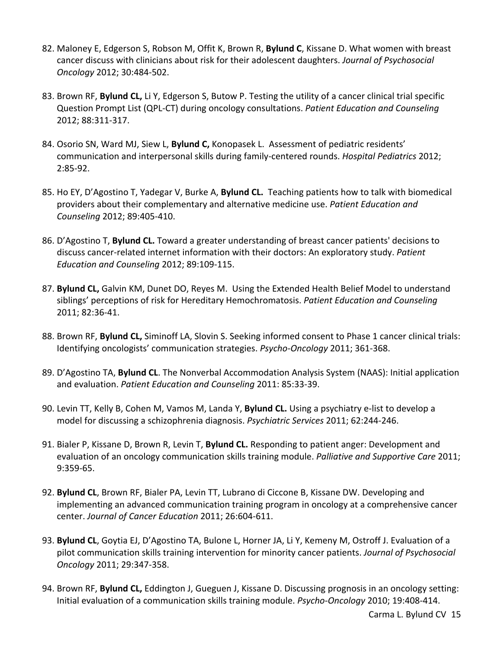- 82. Maloney E, Edgerson S, Robson M, Offit K, Brown R, **Bylund C**, Kissane D. What women with breast cancer discuss with clinicians about risk for their adolescent daughters. *Journal of Psychosocial Oncology* 2012; 30:484-502.
- 83. Brown RF, **Bylund CL,** Li Y, Edgerson S, Butow P. Testing the utility of a cancer clinical trial specific Question Prompt List (QPL-CT) during oncology consultations. *Patient Education and Counseling* 2012; 88:311-317.
- 84. Osorio SN, Ward MJ, Siew L, **Bylund C,** Konopasek L. Assessment of pediatric residents' communication and interpersonal skills during family-centered rounds. *Hospital Pediatrics* 2012; 2:85-92.
- 85. Ho EY, D'Agostino T, Yadegar V, Burke A, **Bylund CL.** Teaching patients how to talk with biomedical providers about their complementary and alternative medicine use. *Patient Education and Counseling* 2012; 89:405-410.
- 86. D'Agostino T, **Bylund CL.** Toward a greater understanding of breast cancer patients' decisions to discuss cancer-related internet information with their doctors: An exploratory study. *Patient Education and Counseling* 2012; 89:109-115.
- 87. **Bylund CL,** Galvin KM, Dunet DO, Reyes M. Using the Extended Health Belief Model to understand siblings' perceptions of risk for Hereditary Hemochromatosis. *Patient Education and Counseling* 2011; 82:36-41.
- 88. Brown RF, **Bylund CL,** Siminoff LA, Slovin S. Seeking informed consent to Phase 1 cancer clinical trials: Identifying oncologists' communication strategies. *Psycho-Oncology* 2011; 361-368.
- 89. D'Agostino TA, **Bylund CL**. The Nonverbal Accommodation Analysis System (NAAS): Initial application and evaluation. *Patient Education and Counseling* 2011: 85:33-39.
- 90. Levin TT, Kelly B, Cohen M, Vamos M, Landa Y, **Bylund CL.** Using a psychiatry e-list to develop a model for discussing a schizophrenia diagnosis. *Psychiatric Services* 2011; 62:244-246.
- 91. Bialer P, Kissane D, Brown R, Levin T, **Bylund CL.** Responding to patient anger: Development and evaluation of an oncology communication skills training module. *Palliative and Supportive Care* 2011; 9:359-65.
- 92. **Bylund CL**, Brown RF, Bialer PA, Levin TT, Lubrano di Ciccone B, Kissane DW. Developing and implementing an advanced communication training program in oncology at a comprehensive cancer center. *Journal of Cancer Education* 2011; 26:604-611.
- 93. **Bylund CL**, Goytia EJ, D'Agostino TA, Bulone L, Horner JA, Li Y, Kemeny M, Ostroff J. Evaluation of a pilot communication skills training intervention for minority cancer patients. *Journal of Psychosocial Oncology* 2011; 29:347-358.
- 94. Brown RF, **Bylund CL,** Eddington J, Gueguen J, Kissane D. Discussing prognosis in an oncology setting: Initial evaluation of a communication skills training module. *Psycho-Oncology* 2010; 19:408-414.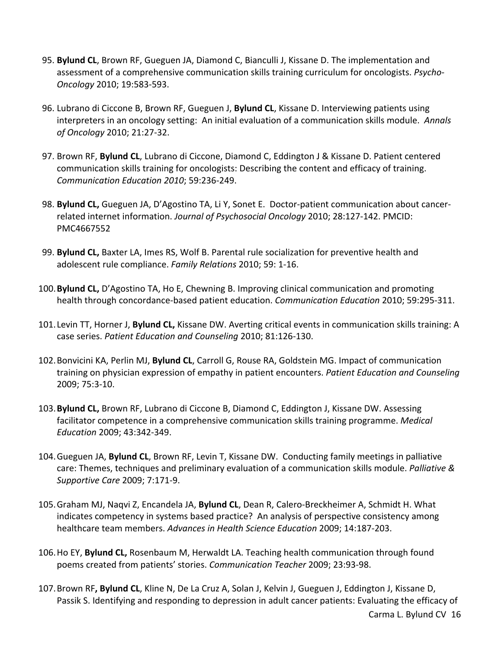- 95. **Bylund CL**, Brown RF, Gueguen JA, Diamond C, Bianculli J, Kissane D. The implementation and assessment of a comprehensive communication skills training curriculum for oncologists. *Psycho-Oncology* 2010; 19:583-593.
- 96. Lubrano di Ciccone B, Brown RF, Gueguen J, **Bylund CL**, Kissane D. Interviewing patients using interpreters in an oncology setting: An initial evaluation of a communication skills module. *Annals of Oncology* 2010; 21:27-32.
- 97. Brown RF, **Bylund CL**, Lubrano di Ciccone, Diamond C, Eddington J & Kissane D. Patient centered communication skills training for oncologists: Describing the content and efficacy of training. *Communication Education 2010*; 59:236-249.
- 98. **Bylund CL,** Gueguen JA, D'Agostino TA, Li Y, Sonet E. Doctor-patient communication about cancerrelated internet information. *Journal of Psychosocial Oncology* 2010; 28:127-142. PMCID: PMC4667552
- 99. **Bylund CL,** Baxter LA, Imes RS, Wolf B. Parental rule socialization for preventive health and adolescent rule compliance. *Family Relations* 2010; 59: 1-16.
- 100.**Bylund CL,** D'Agostino TA, Ho E, Chewning B. Improving clinical communication and promoting health through concordance-based patient education. *Communication Education* 2010; 59:295-311.
- 101.Levin TT, Horner J, **Bylund CL,** Kissane DW. Averting critical events in communication skills training: A case series. *Patient Education and Counseling* 2010; 81:126-130.
- 102.Bonvicini KA, Perlin MJ, **Bylund CL**, Carroll G, Rouse RA, Goldstein MG. Impact of communication training on physician expression of empathy in patient encounters. *Patient Education and Counseling* 2009; 75:3-10.
- 103.**Bylund CL,** Brown RF, Lubrano di Ciccone B, Diamond C, Eddington J, Kissane DW. Assessing facilitator competence in a comprehensive communication skills training programme. *Medical Education* 2009; 43:342-349.
- 104.Gueguen JA, **Bylund CL**, Brown RF, Levin T, Kissane DW. Conducting family meetings in palliative care: Themes, techniques and preliminary evaluation of a communication skills module. *Palliative & Supportive Care* 2009; 7:171-9.
- 105.Graham MJ, Naqvi Z, Encandela JA, **Bylund CL**, Dean R, Calero-Breckheimer A, Schmidt H. What indicates competency in systems based practice? An analysis of perspective consistency among healthcare team members. *Advances in Health Science Education* 2009; 14:187-203.
- 106.Ho EY, **Bylund CL,** Rosenbaum M, Herwaldt LA. Teaching health communication through found poems created from patients' stories. *Communication Teacher* 2009; 23:93-98.
- 107.Brown RF**, Bylund CL**, Kline N, De La Cruz A, Solan J, Kelvin J, Gueguen J, Eddington J, Kissane D, Passik S. Identifying and responding to depression in adult cancer patients: Evaluating the efficacy of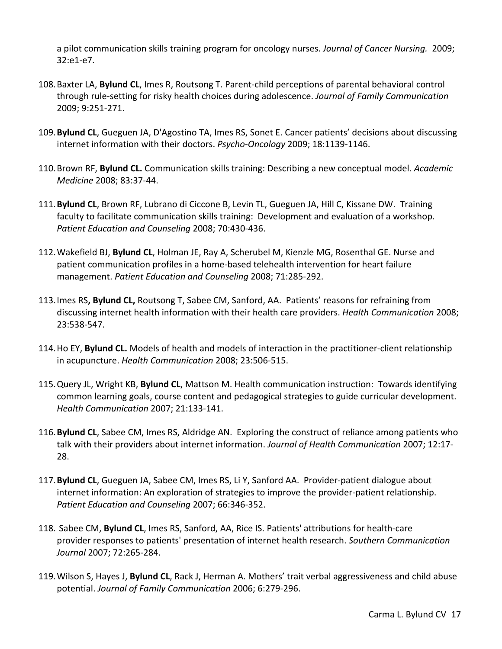a pilot communication skills training program for oncology nurses. *Journal of Cancer Nursing.* 2009; 32:e1-e7.

- 108.Baxter LA, **Bylund CL**, Imes R, Routsong T. Parent-child perceptions of parental behavioral control through rule-setting for risky health choices during adolescence. *Journal of Family Communication* 2009; 9:251-271.
- 109.**Bylund CL**, Gueguen JA, D'Agostino TA, Imes RS, Sonet E. Cancer patients' decisions about discussing internet information with their doctors. *Psycho-Oncology* 2009; 18:1139-1146.
- 110.Brown RF, **Bylund CL.** Communication skills training: Describing a new conceptual model. *Academic Medicine* 2008; 83:37-44.
- 111.**Bylund CL**, Brown RF, Lubrano di Ciccone B, Levin TL, Gueguen JA, Hill C, Kissane DW. Training faculty to facilitate communication skills training: Development and evaluation of a workshop. *Patient Education and Counseling* 2008; 70:430-436.
- 112.Wakefield BJ, **Bylund CL**, Holman JE, Ray A, Scherubel M, Kienzle MG, Rosenthal GE. Nurse and patient communication profiles in a home-based telehealth intervention for heart failure management. *Patient Education and Counseling* 2008; 71:285-292.
- 113.Imes RS**, Bylund CL,** Routsong T, Sabee CM, Sanford, AA. Patients' reasons for refraining from discussing internet health information with their health care providers. *Health Communication* 2008; 23:538-547.
- 114.Ho EY, **Bylund CL.** Models of health and models of interaction in the practitioner-client relationship in acupuncture. *Health Communication* 2008; 23:506-515.
- 115.Query JL, Wright KB, **Bylund CL**, Mattson M. Health communication instruction: Towards identifying common learning goals, course content and pedagogical strategies to guide curricular development. *Health Communication* 2007; 21:133-141.
- 116.**Bylund CL**, Sabee CM, Imes RS, Aldridge AN. Exploring the construct of reliance among patients who talk with their providers about internet information. *Journal of Health Communication* 2007; 12:17- 28.
- 117.**Bylund CL**, Gueguen JA, Sabee CM, Imes RS, Li Y, Sanford AA. Provider-patient dialogue about internet information: An exploration of strategies to improve the provider-patient relationship. *Patient Education and Counseling* 2007; 66:346-352.
- 118. Sabee CM, **Bylund CL**, Imes RS, Sanford, AA, Rice IS. Patients' attributions for health-care provider responses to patients' presentation of internet health research. *Southern Communication Journal* 2007; 72:265-284.
- 119.Wilson S, Hayes J, **Bylund CL**, Rack J, Herman A. Mothers' trait verbal aggressiveness and child abuse potential. *Journal of Family Communication* 2006; 6:279-296.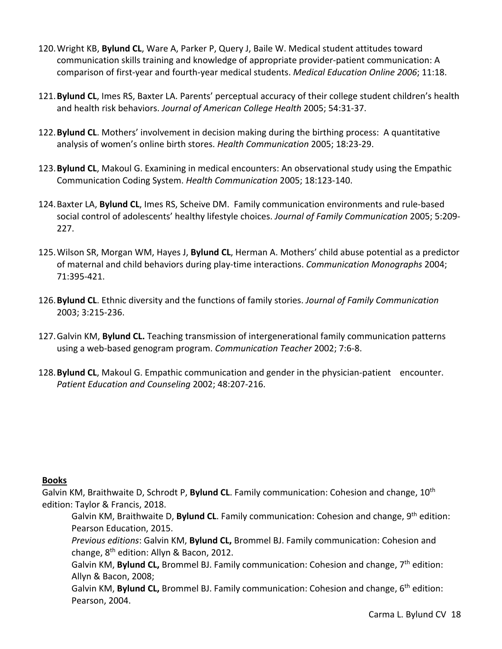- 120.Wright KB, **Bylund CL**, Ware A, Parker P, Query J, Baile W. Medical student attitudes toward communication skills training and knowledge of appropriate provider-patient communication: A comparison of first-year and fourth-year medical students. *Medical Education Online 2006*; 11:18.
- 121.**Bylund CL**, Imes RS, Baxter LA. Parents' perceptual accuracy of their college student children's health and health risk behaviors. *Journal of American College Health* 2005; 54:31-37.
- 122.**Bylund CL**. Mothers' involvement in decision making during the birthing process: A quantitative analysis of women's online birth stores. *Health Communication* 2005; 18:23-29.
- 123.**Bylund CL**, Makoul G. Examining in medical encounters: An observational study using the Empathic Communication Coding System. *Health Communication* 2005; 18:123-140.
- 124.Baxter LA, **Bylund CL**, Imes RS, Scheive DM. Family communication environments and rule-based social control of adolescents' healthy lifestyle choices. *Journal of Family Communication* 2005; 5:209- 227.
- 125.Wilson SR, Morgan WM, Hayes J, **Bylund CL**, Herman A. Mothers' child abuse potential as a predictor of maternal and child behaviors during play-time interactions. *Communication Monographs* 2004; 71:395-421.
- 126.**Bylund CL**. Ethnic diversity and the functions of family stories. *Journal of Family Communication* 2003; 3:215-236.
- 127.Galvin KM, **Bylund CL.** Teaching transmission of intergenerational family communication patterns using a web-based genogram program. *Communication Teacher* 2002; 7:6-8.
- 128.**Bylund CL**, Makoul G. Empathic communication and gender in the physician-patient encounter. *Patient Education and Counseling* 2002; 48:207-216.

#### **Books**

Galvin KM, Braithwaite D, Schrodt P, **Bylund CL**. Family communication: Cohesion and change, 10th edition: Taylor & Francis, 2018.

Galvin KM, Braithwaite D, **Bylund CL**. Family communication: Cohesion and change, 9th edition: Pearson Education, 2015.

*Previous editions*: Galvin KM, **Bylund CL,** Brommel BJ. Family communication: Cohesion and change, 8th edition: Allyn & Bacon, 2012.

Galvin KM, **Bylund CL,** Brommel BJ. Family communication: Cohesion and change, 7th edition: Allyn & Bacon, 2008;

Galvin KM, **Bylund CL,** Brommel BJ. Family communication: Cohesion and change, 6<sup>th</sup> edition: Pearson, 2004.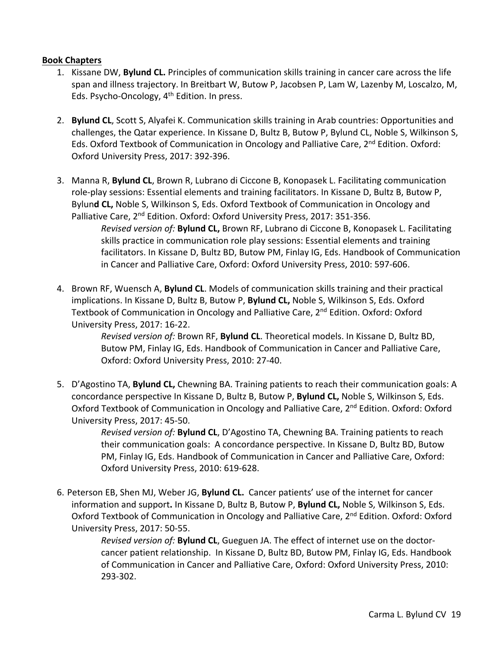#### **Book Chapters**

- 1. Kissane DW, **Bylund CL.** Principles of communication skills training in cancer care across the life span and illness trajectory. In Breitbart W, Butow P, Jacobsen P, Lam W, Lazenby M, Loscalzo, M, Eds. Psycho-Oncology, 4<sup>th</sup> Edition. In press.
- 2. **Bylund CL**, Scott S, Alyafei K. Communication skills training in Arab countries: Opportunities and challenges, the Qatar experience. In Kissane D, Bultz B, Butow P, Bylund CL, Noble S, Wilkinson S, Eds. Oxford Textbook of Communication in Oncology and Palliative Care, 2<sup>nd</sup> Edition. Oxford: Oxford University Press, 2017: 392-396.
- 3. Manna R, **Bylund CL**, Brown R, Lubrano di Ciccone B, Konopasek L. Facilitating communication role-play sessions: Essential elements and training facilitators. In Kissane D, Bultz B, Butow P, Bylun**d CL,** Noble S, Wilkinson S, Eds. Oxford Textbook of Communication in Oncology and Palliative Care, 2<sup>nd</sup> Edition. Oxford: Oxford University Press, 2017: 351-356. *Revised version of:* **Bylund CL,** Brown RF, Lubrano di Ciccone B, Konopasek L. Facilitating skills practice in communication role play sessions: Essential elements and training facilitators. In Kissane D, Bultz BD, Butow PM, Finlay IG, Eds. Handbook of Communication in Cancer and Palliative Care, Oxford: Oxford University Press, 2010: 597-606.
- 4. Brown RF, Wuensch A, **Bylund CL**. Models of communication skills training and their practical implications. In Kissane D, Bultz B, Butow P, **Bylund CL,** Noble S, Wilkinson S, Eds. Oxford Textbook of Communication in Oncology and Palliative Care, 2<sup>nd</sup> Edition. Oxford: Oxford University Press, 2017: 16-22.

*Revised version of:* Brown RF, **Bylund CL**. Theoretical models. In Kissane D, Bultz BD, Butow PM, Finlay IG, Eds. Handbook of Communication in Cancer and Palliative Care, Oxford: Oxford University Press, 2010: 27-40.

5. D'Agostino TA, **Bylund CL,** Chewning BA. Training patients to reach their communication goals: A concordance perspective In Kissane D, Bultz B, Butow P, **Bylund CL,** Noble S, Wilkinson S, Eds. Oxford Textbook of Communication in Oncology and Palliative Care, 2<sup>nd</sup> Edition. Oxford: Oxford University Press, 2017: 45-50.

> *Revised version of:* **Bylund CL**, D'Agostino TA, Chewning BA. Training patients to reach their communication goals: A concordance perspective. In Kissane D, Bultz BD, Butow PM, Finlay IG, Eds. Handbook of Communication in Cancer and Palliative Care, Oxford: Oxford University Press, 2010: 619-628.

6. Peterson EB, Shen MJ, Weber JG, **Bylund CL.** Cancer patients' use of the internet for cancer information and support**.** In Kissane D, Bultz B, Butow P, **Bylund CL,** Noble S, Wilkinson S, Eds. Oxford Textbook of Communication in Oncology and Palliative Care, 2<sup>nd</sup> Edition. Oxford: Oxford University Press, 2017: 50-55.

> *Revised version of:* **Bylund CL**, Gueguen JA. The effect of internet use on the doctorcancer patient relationship. In Kissane D, Bultz BD, Butow PM, Finlay IG, Eds. Handbook of Communication in Cancer and Palliative Care, Oxford: Oxford University Press, 2010: 293-302.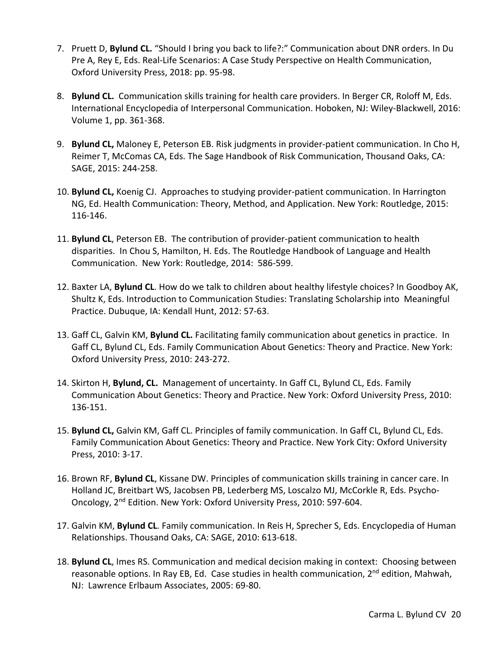- 7. Pruett D, **Bylund CL.** "Should I bring you back to life?:" Communication about DNR orders. In Du Pre A, Rey E, Eds. Real-Life Scenarios: A Case Study Perspective on Health Communication, Oxford University Press, 2018: pp. 95-98.
- 8. **Bylund CL.** Communication skills training for health care providers. In Berger CR, Roloff M, Eds. International Encyclopedia of Interpersonal Communication. Hoboken, NJ: Wiley-Blackwell, 2016: Volume 1, pp. 361-368.
- 9. **Bylund CL,** Maloney E, Peterson EB. Risk judgments in provider-patient communication. In Cho H, Reimer T, McComas CA, Eds. The Sage Handbook of Risk Communication, Thousand Oaks, CA: SAGE, 2015: 244-258.
- 10. **Bylund CL,** Koenig CJ. Approaches to studying provider-patient communication. In Harrington NG, Ed. Health Communication: Theory, Method, and Application. New York: Routledge, 2015: 116-146.
- 11. **Bylund CL**, Peterson EB. The contribution of provider-patient communication to health disparities. In Chou S, Hamilton, H. Eds. The Routledge Handbook of Language and Health Communication. New York: Routledge, 2014: 586-599.
- 12. Baxter LA, **Bylund CL**. How do we talk to children about healthy lifestyle choices? In Goodboy AK, Shultz K, Eds. Introduction to Communication Studies: Translating Scholarship into Meaningful Practice. Dubuque, IA: Kendall Hunt, 2012: 57-63.
- 13. Gaff CL, Galvin KM, **Bylund CL.** Facilitating family communication about genetics in practice. In Gaff CL, Bylund CL, Eds. Family Communication About Genetics: Theory and Practice. New York: Oxford University Press, 2010: 243-272.
- 14. Skirton H, **Bylund, CL.** Management of uncertainty. In Gaff CL, Bylund CL, Eds. Family Communication About Genetics: Theory and Practice. New York: Oxford University Press, 2010: 136-151.
- 15. **Bylund CL,** Galvin KM, Gaff CL. Principles of family communication. In Gaff CL, Bylund CL, Eds. Family Communication About Genetics: Theory and Practice. New York City: Oxford University Press, 2010: 3-17.
- 16. Brown RF, **Bylund CL**, Kissane DW. Principles of communication skills training in cancer care. In Holland JC, Breitbart WS, Jacobsen PB, Lederberg MS, Loscalzo MJ, McCorkle R, Eds. Psycho-Oncology, 2nd Edition. New York: Oxford University Press, 2010: 597-604.
- 17. Galvin KM, **Bylund CL**. Family communication. In Reis H, Sprecher S, Eds. Encyclopedia of Human Relationships. Thousand Oaks, CA: SAGE, 2010: 613-618.
- 18. **Bylund CL**, Imes RS. Communication and medical decision making in context: Choosing between reasonable options. In Ray EB, Ed. Case studies in health communication, 2<sup>nd</sup> edition, Mahwah, NJ: Lawrence Erlbaum Associates, 2005: 69-80.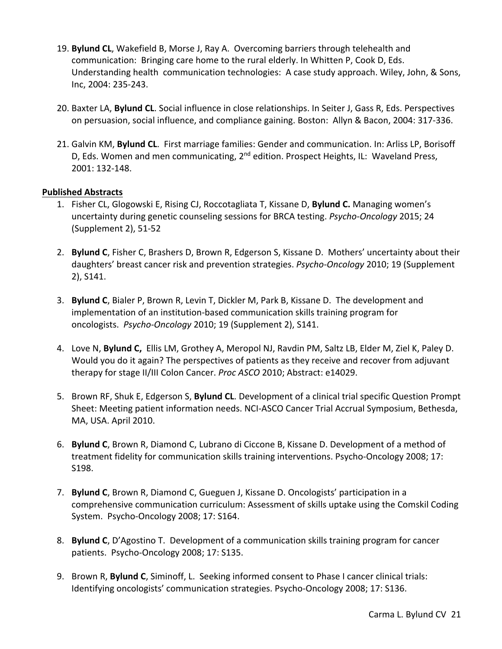- 19. **Bylund CL**, Wakefield B, Morse J, Ray A. Overcoming barriers through telehealth and communication: Bringing care home to the rural elderly. In Whitten P, Cook D, Eds. Understanding health communication technologies: A case study approach. Wiley, John, & Sons, Inc, 2004: 235-243.
- 20. Baxter LA, **Bylund CL**. Social influence in close relationships. In Seiter J, Gass R, Eds. Perspectives on persuasion, social influence, and compliance gaining. Boston: Allyn & Bacon, 2004: 317-336.
- 21. Galvin KM, **Bylund CL**. First marriage families: Gender and communication. In: Arliss LP, Borisoff D, Eds. Women and men communicating, 2<sup>nd</sup> edition. Prospect Heights, IL: Waveland Press, 2001: 132-148.

## **Published Abstracts**

- 1. Fisher CL, Glogowski E, Rising CJ, Roccotagliata T, Kissane D, **Bylund C.** Managing women's uncertainty during genetic counseling sessions for BRCA testing. *Psycho-Oncology* 2015; 24 (Supplement 2), 51-52
- 2. **Bylund C**, Fisher C, Brashers D, Brown R, Edgerson S, Kissane D. Mothers' uncertainty about their daughters' breast cancer risk and prevention strategies. *Psycho-Oncology* 2010; 19 (Supplement 2), S141.
- 3. **Bylund C**, Bialer P, Brown R, Levin T, Dickler M, Park B, Kissane D. The development and implementation of an institution-based communication skills training program for oncologists. *Psycho-Oncology* 2010; 19 (Supplement 2), S141.
- 4. Love N, **Bylund C,** Ellis LM, Grothey A, Meropol NJ, Ravdin PM, Saltz LB, Elder M, Ziel K, Paley D. Would you do it again? The perspectives of patients as they receive and recover from adjuvant therapy for stage II/III Colon Cancer. *Proc ASCO* 2010; Abstract: e14029.
- 5. Brown RF, Shuk E, Edgerson S, **Bylund CL**. Development of a clinical trial specific Question Prompt Sheet: Meeting patient information needs. NCI-ASCO Cancer Trial Accrual Symposium, Bethesda, MA, USA. April 2010.
- 6. **Bylund C**, Brown R, Diamond C, Lubrano di Ciccone B, Kissane D. Development of a method of treatment fidelity for communication skills training interventions. Psycho-Oncology 2008; 17: S198.
- 7. **Bylund C**, Brown R, Diamond C, Gueguen J, Kissane D. Oncologists' participation in a comprehensive communication curriculum: Assessment of skills uptake using the Comskil Coding System. Psycho-Oncology 2008; 17: S164.
- 8. **Bylund C**, D'Agostino T. Development of a communication skills training program for cancer patients. Psycho-Oncology 2008; 17: S135.
- 9. Brown R, **Bylund C**, Siminoff, L. Seeking informed consent to Phase I cancer clinical trials: Identifying oncologists' communication strategies. Psycho-Oncology 2008; 17: S136.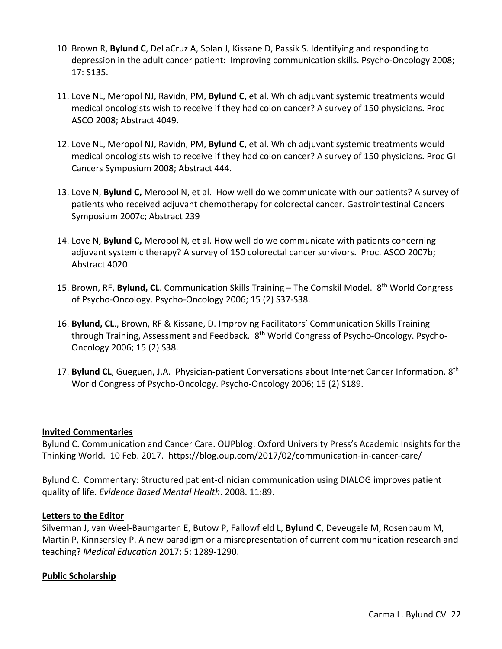- 10. Brown R, **Bylund C**, DeLaCruz A, Solan J, Kissane D, Passik S. Identifying and responding to depression in the adult cancer patient: Improving communication skills. Psycho-Oncology 2008; 17: S135.
- 11. Love NL, Meropol NJ, Ravidn, PM, **Bylund C**, et al. Which adjuvant systemic treatments would medical oncologists wish to receive if they had colon cancer? A survey of 150 physicians. Proc ASCO 2008; Abstract 4049.
- 12. Love NL, Meropol NJ, Ravidn, PM, **Bylund C**, et al. Which adjuvant systemic treatments would medical oncologists wish to receive if they had colon cancer? A survey of 150 physicians. Proc GI Cancers Symposium 2008; Abstract 444.
- 13. Love N, **Bylund C,** Meropol N, et al. How well do we communicate with our patients? A survey of patients who received adjuvant chemotherapy for colorectal cancer. Gastrointestinal Cancers Symposium 2007c; Abstract 239
- 14. Love N, **Bylund C,** Meropol N, et al. How well do we communicate with patients concerning adjuvant systemic therapy? A survey of 150 colorectal cancer survivors. Proc. ASCO 2007b; Abstract 4020
- 15. Brown, RF, **Bylund, CL**. Communication Skills Training The Comskil Model. 8th World Congress of Psycho-Oncology. Psycho-Oncology 2006; 15 (2) S37-S38.
- 16. **Bylund, CL**., Brown, RF & Kissane, D. Improving Facilitators' Communication Skills Training through Training, Assessment and Feedback. 8<sup>th</sup> World Congress of Psycho-Oncology. Psycho-Oncology 2006; 15 (2) S38.
- 17. **Bylund CL**, Gueguen, J.A. Physician-patient Conversations about Internet Cancer Information. 8th World Congress of Psycho-Oncology. Psycho-Oncology 2006; 15 (2) S189.

# **Invited Commentaries**

Bylund C. Communication and Cancer Care. OUPblog: Oxford University Press's Academic Insights for the Thinking World. 10 Feb. 2017. https://blog.oup.com/2017/02/communication-in-cancer-care/

Bylund C. Commentary: Structured patient-clinician communication using DIALOG improves patient quality of life. *Evidence Based Mental Health*. 2008. 11:89.

#### **Letters to the Editor**

Silverman J, van Weel-Baumgarten E, Butow P, Fallowfield L, **Bylund C**, Deveugele M, Rosenbaum M, Martin P, Kinnsersley P. A new paradigm or a misrepresentation of current communication research and teaching? *Medical Education* 2017; 5: 1289-1290.

#### **Public Scholarship**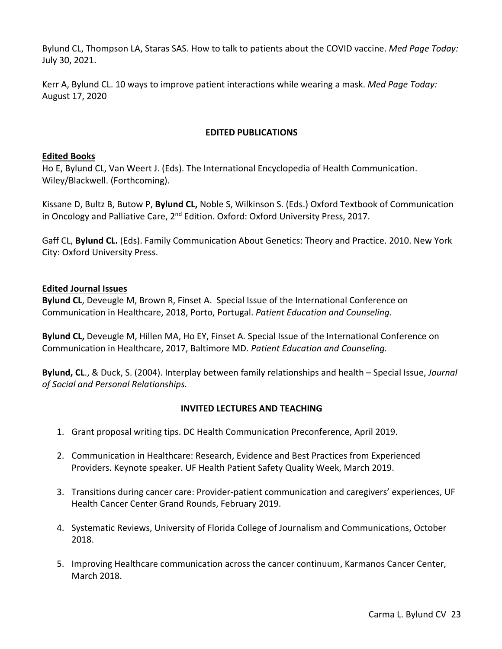Bylund CL, Thompson LA, Staras SAS. How to talk to patients about the COVID vaccine. *Med Page Today:*  July 30, 2021.

Kerr A, Bylund CL. 10 ways to improve patient interactions while wearing a mask. *Med Page Today:*  August 17, 2020

## **EDITED PUBLICATIONS**

#### **Edited Books**

Ho E, Bylund CL, Van Weert J. (Eds). The International Encyclopedia of Health Communication. Wiley/Blackwell. (Forthcoming).

Kissane D, Bultz B, Butow P, **Bylund CL,** Noble S, Wilkinson S. (Eds.) Oxford Textbook of Communication in Oncology and Palliative Care, 2<sup>nd</sup> Edition. Oxford: Oxford University Press, 2017.

Gaff CL, **Bylund CL.** (Eds). Family Communication About Genetics: Theory and Practice. 2010. New York City: Oxford University Press.

#### **Edited Journal Issues**

**Bylund CL**, Deveugle M, Brown R, Finset A. Special Issue of the International Conference on Communication in Healthcare, 2018, Porto, Portugal. *Patient Education and Counseling.* 

**Bylund CL,** Deveugle M, Hillen MA, Ho EY, Finset A. Special Issue of the International Conference on Communication in Healthcare, 2017, Baltimore MD. *Patient Education and Counseling.* 

**Bylund, CL**., & Duck, S. (2004). Interplay between family relationships and health – Special Issue, *Journal of Social and Personal Relationships.*

#### **INVITED LECTURES AND TEACHING**

- 1. Grant proposal writing tips. DC Health Communication Preconference, April 2019.
- 2. Communication in Healthcare: Research, Evidence and Best Practices from Experienced Providers. Keynote speaker. UF Health Patient Safety Quality Week, March 2019.
- 3. Transitions during cancer care: Provider-patient communication and caregivers' experiences, UF Health Cancer Center Grand Rounds, February 2019.
- 4. Systematic Reviews, University of Florida College of Journalism and Communications, October 2018.
- 5. Improving Healthcare communication across the cancer continuum, Karmanos Cancer Center, March 2018.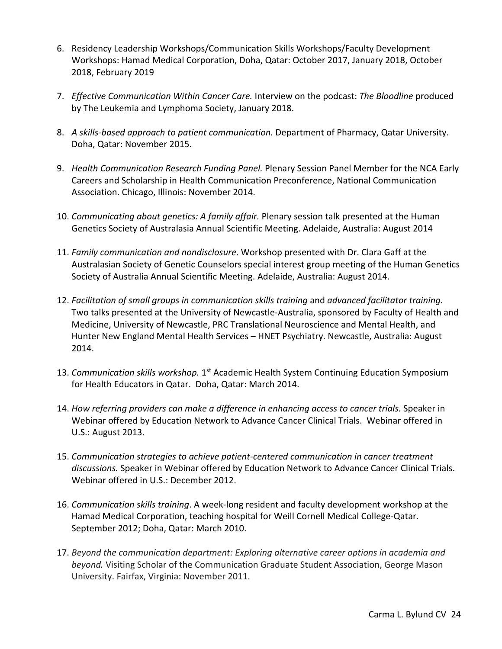- 6. Residency Leadership Workshops/Communication Skills Workshops/Faculty Development Workshops: Hamad Medical Corporation, Doha, Qatar: October 2017, January 2018, October 2018, February 2019
- 7. *Effective Communication Within Cancer Care.* Interview on the podcast: *The Bloodline* produced by The Leukemia and Lymphoma Society, January 2018.
- 8. *A skills-based approach to patient communication.* Department of Pharmacy, Qatar University. Doha, Qatar: November 2015.
- 9. *Health Communication Research Funding Panel.* Plenary Session Panel Member for the NCA Early Careers and Scholarship in Health Communication Preconference, National Communication Association. Chicago, Illinois: November 2014.
- 10. *Communicating about genetics: A family affair.* Plenary session talk presented at the Human Genetics Society of Australasia Annual Scientific Meeting. Adelaide, Australia: August 2014
- 11. *Family communication and nondisclosure*. Workshop presented with Dr. Clara Gaff at the Australasian Society of Genetic Counselors special interest group meeting of the Human Genetics Society of Australia Annual Scientific Meeting. Adelaide, Australia: August 2014.
- 12. *Facilitation of small groups in communication skills training* and *advanced facilitator training.*  Two talks presented at the University of Newcastle-Australia, sponsored by Faculty of Health and Medicine, University of Newcastle, PRC Translational Neuroscience and Mental Health, and Hunter New England Mental Health Services – HNET Psychiatry. Newcastle, Australia: August 2014.
- 13. *Communication skills workshop.* 1<sup>st</sup> Academic Health System Continuing Education Symposium for Health Educators in Qatar. Doha, Qatar: March 2014.
- 14. *How referring providers can make a difference in enhancing access to cancer trials.* Speaker in Webinar offered by Education Network to Advance Cancer Clinical Trials. Webinar offered in U.S.: August 2013.
- 15. *Communication strategies to achieve patient-centered communication in cancer treatment discussions.* Speaker in Webinar offered by Education Network to Advance Cancer Clinical Trials. Webinar offered in U.S.: December 2012.
- 16. *Communication skills training*. A week-long resident and faculty development workshop at the Hamad Medical Corporation, teaching hospital for Weill Cornell Medical College-Qatar. September 2012; Doha, Qatar: March 2010.
- 17. *Beyond the communication department: Exploring alternative career options in academia and beyond.* Visiting Scholar of the Communication Graduate Student Association, George Mason University. Fairfax, Virginia: November 2011.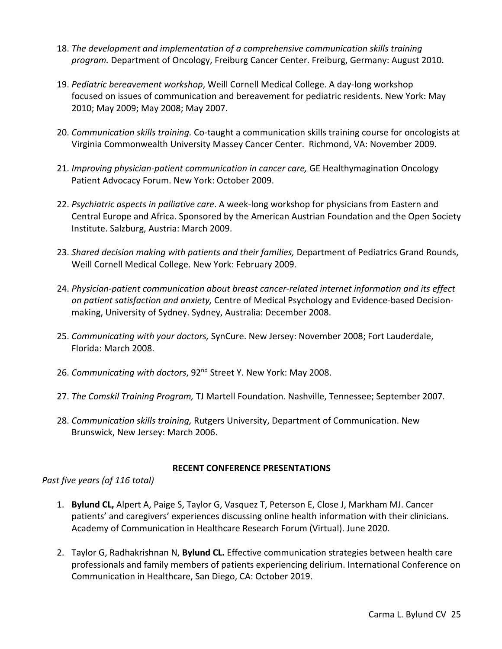- 18. *The development and implementation of a comprehensive communication skills training program.* Department of Oncology, Freiburg Cancer Center. Freiburg, Germany: August 2010.
- 19. *Pediatric bereavement workshop*, Weill Cornell Medical College. A day-long workshop focused on issues of communication and bereavement for pediatric residents. New York: May 2010; May 2009; May 2008; May 2007.
- 20. *Communication skills training.* Co-taught a communication skills training course for oncologists at Virginia Commonwealth University Massey Cancer Center. Richmond, VA: November 2009.
- 21. *Improving physician-patient communication in cancer care,* GE Healthymagination Oncology Patient Advocacy Forum. New York: October 2009.
- 22. *Psychiatric aspects in palliative care*. A week-long workshop for physicians from Eastern and Central Europe and Africa. Sponsored by the American Austrian Foundation and the Open Society Institute. Salzburg, Austria: March 2009.
- 23. *Shared decision making with patients and their families,* Department of Pediatrics Grand Rounds, Weill Cornell Medical College. New York: February 2009.
- 24. *Physician-patient communication about breast cancer-related internet information and its effect on patient satisfaction and anxiety,* Centre of Medical Psychology and Evidence-based Decisionmaking, University of Sydney. Sydney, Australia: December 2008.
- 25. *Communicating with your doctors,* SynCure. New Jersey: November 2008; Fort Lauderdale, Florida: March 2008.
- 26. *Communicating with doctors*, 92<sup>nd</sup> Street Y. New York: May 2008.
- 27. *The Comskil Training Program,* TJ Martell Foundation. Nashville, Tennessee; September 2007.
- 28. *Communication skills training,* Rutgers University, Department of Communication. New Brunswick, New Jersey: March 2006.

#### **RECENT CONFERENCE PRESENTATIONS**

*Past five years (of 116 total)*

- 1. **Bylund CL,** Alpert A, Paige S, Taylor G, Vasquez T, Peterson E, Close J, Markham MJ. Cancer patients' and caregivers' experiences discussing online health information with their clinicians. Academy of Communication in Healthcare Research Forum (Virtual). June 2020.
- 2. Taylor G, Radhakrishnan N, **Bylund CL.** Effective communication strategies between health care professionals and family members of patients experiencing delirium. International Conference on Communication in Healthcare, San Diego, CA: October 2019.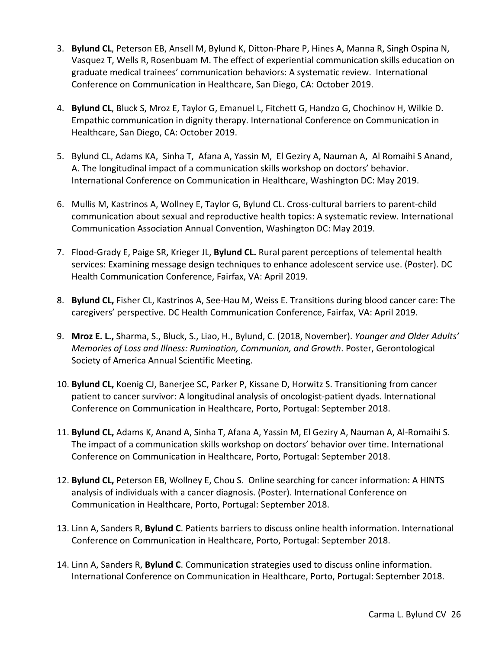- 3. **Bylund CL**, Peterson EB, Ansell M, Bylund K, Ditton-Phare P, Hines A, Manna R, Singh Ospina N, Vasquez T, Wells R, Rosenbuam M. The effect of experiential communication skills education on graduate medical trainees' communication behaviors: A systematic review. International Conference on Communication in Healthcare, San Diego, CA: October 2019.
- 4. **Bylund CL**, Bluck S, Mroz E, Taylor G, Emanuel L, Fitchett G, Handzo G, Chochinov H, Wilkie D. Empathic communication in dignity therapy. International Conference on Communication in Healthcare, San Diego, CA: October 2019.
- 5. Bylund CL, Adams KA, Sinha T, Afana A, Yassin M, El Geziry A, Nauman A, Al Romaihi S Anand, A. The longitudinal impact of a communication skills workshop on doctors' behavior. International Conference on Communication in Healthcare, Washington DC: May 2019.
- 6. Mullis M, Kastrinos A, Wollney E, Taylor G, Bylund CL. Cross-cultural barriers to parent-child communication about sexual and reproductive health topics: A systematic review. International Communication Association Annual Convention, Washington DC: May 2019.
- 7. Flood-Grady E, Paige SR, Krieger JL, **Bylund CL.** Rural parent perceptions of telemental health services: Examining message design techniques to enhance adolescent service use. (Poster). DC Health Communication Conference, Fairfax, VA: April 2019.
- 8. **Bylund CL,** Fisher CL, Kastrinos A, See-Hau M, Weiss E. Transitions during blood cancer care: The caregivers' perspective. DC Health Communication Conference, Fairfax, VA: April 2019.
- 9. **Mroz E. L.,** Sharma, S., Bluck, S., Liao, H., Bylund, C. (2018, November). *Younger and Older Adults' Memories of Loss and Illness: Rumination, Communion, and Growth*. Poster, Gerontological Society of America Annual Scientific Meeting.
- 10. **Bylund CL,** Koenig CJ, Banerjee SC, Parker P, Kissane D, Horwitz S. Transitioning from cancer patient to cancer survivor: A longitudinal analysis of oncologist-patient dyads. International Conference on Communication in Healthcare, Porto, Portugal: September 2018.
- 11. **Bylund CL,** Adams K, Anand A, Sinha T, Afana A, Yassin M, El Geziry A, Nauman A, Al-Romaihi S. The impact of a communication skills workshop on doctors' behavior over time. International Conference on Communication in Healthcare, Porto, Portugal: September 2018.
- 12. **Bylund CL,** Peterson EB, Wollney E, Chou S. Online searching for cancer information: A HINTS analysis of individuals with a cancer diagnosis. (Poster). International Conference on Communication in Healthcare, Porto, Portugal: September 2018.
- 13. Linn A, Sanders R, **Bylund C**. Patients barriers to discuss online health information. International Conference on Communication in Healthcare, Porto, Portugal: September 2018.
- 14. Linn A, Sanders R, **Bylund C**. Communication strategies used to discuss online information. International Conference on Communication in Healthcare, Porto, Portugal: September 2018.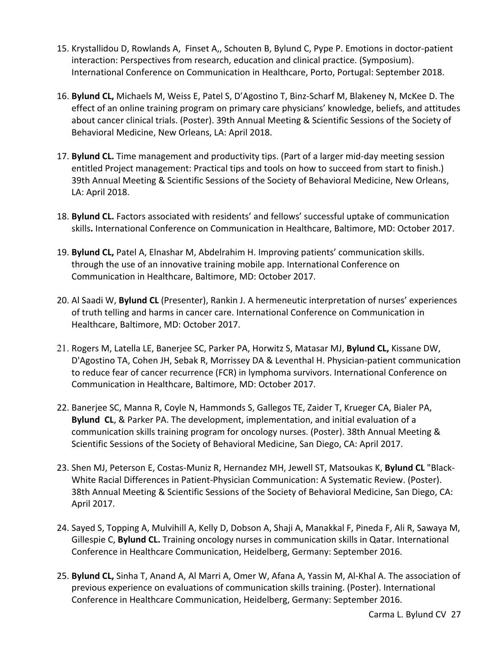- 15. Krystallidou D, Rowlands A, Finset A,, Schouten B, Bylund C, Pype P. Emotions in doctor-patient interaction: Perspectives from research, education and clinical practice. (Symposium). International Conference on Communication in Healthcare, Porto, Portugal: September 2018.
- 16. **Bylund CL,** Michaels M, Weiss E, Patel S, D'Agostino T, Binz-Scharf M, Blakeney N, McKee D. The effect of an online training program on primary care physicians' knowledge, beliefs, and attitudes about cancer clinical trials. (Poster). 39th Annual Meeting & Scientific Sessions of the Society of Behavioral Medicine, New Orleans, LA: April 2018.
- 17. **Bylund CL.** Time management and productivity tips. (Part of a larger mid-day meeting session entitled Project management: Practical tips and tools on how to succeed from start to finish.) 39th Annual Meeting & Scientific Sessions of the Society of Behavioral Medicine, New Orleans, LA: April 2018.
- 18. **Bylund CL.** Factors associated with residents' and fellows' successful uptake of communication skills**.** International Conference on Communication in Healthcare, Baltimore, MD: October 2017.
- 19. **Bylund CL,** Patel A, Elnashar M, Abdelrahim H. Improving patients' communication skills. through the use of an innovative training mobile app. International Conference on Communication in Healthcare, Baltimore, MD: October 2017.
- 20. Al Saadi W, **Bylund CL** (Presenter), Rankin J. A hermeneutic interpretation of nurses' experiences of truth telling and harms in cancer care. International Conference on Communication in Healthcare, Baltimore, MD: October 2017.
- 21. Rogers M, Latella LE, Banerjee SC, Parker PA, Horwitz S, Matasar MJ, **Bylund CL,** Kissane DW, D'Agostino TA, Cohen JH, Sebak R, Morrissey DA & Leventhal H. Physician-patient communication to reduce fear of cancer recurrence (FCR) in lymphoma survivors. International Conference on Communication in Healthcare, Baltimore, MD: October 2017.
- 22. Banerjee SC, Manna R, Coyle N, Hammonds S, Gallegos TE, Zaider T, Krueger CA, Bialer PA, **Bylund CL**, & Parker PA. The development, implementation, and initial evaluation of a communication skills training program for oncology nurses. (Poster). 38th Annual Meeting & Scientific Sessions of the Society of Behavioral Medicine, San Diego, CA: April 2017.
- 23. Shen MJ, Peterson E, Costas-Muniz R, Hernandez MH, Jewell ST, Matsoukas K, **Bylund CL** "Black-White Racial Differences in Patient-Physician Communication: A Systematic Review. (Poster). 38th Annual Meeting & Scientific Sessions of the Society of Behavioral Medicine, San Diego, CA: April 2017.
- 24. Sayed S, Topping A, Mulvihill A, Kelly D, Dobson A, Shaji A, Manakkal F, Pineda F, Ali R, Sawaya M, Gillespie C, **Bylund CL.** Training oncology nurses in communication skills in Qatar. International Conference in Healthcare Communication, Heidelberg, Germany: September 2016.
- 25. **Bylund CL,** Sinha T, Anand A, Al Marri A, Omer W, Afana A, Yassin M, Al-Khal A. The association of previous experience on evaluations of communication skills training. (Poster). International Conference in Healthcare Communication, Heidelberg, Germany: September 2016.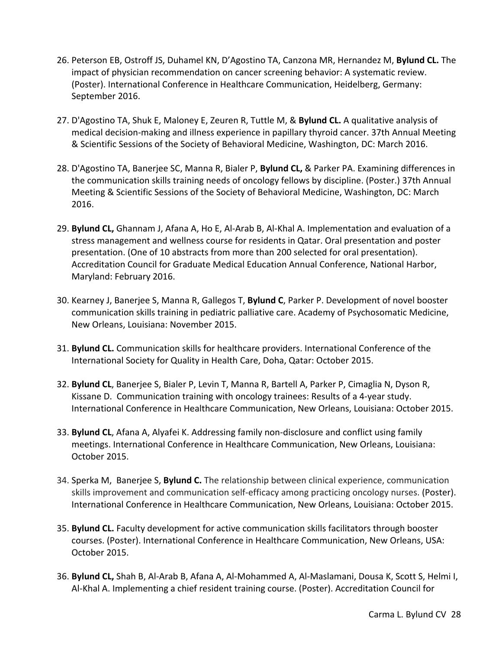- 26. Peterson EB, Ostroff JS, Duhamel KN, D'Agostino TA, Canzona MR, Hernandez M, **Bylund CL.** The impact of physician recommendation on cancer screening behavior: A systematic review. (Poster). International Conference in Healthcare Communication, Heidelberg, Germany: September 2016.
- 27. D'Agostino TA, Shuk E, Maloney E, Zeuren R, Tuttle M, & **Bylund CL.** A qualitative analysis of medical decision-making and illness experience in papillary thyroid cancer. 37th Annual Meeting & Scientific Sessions of the Society of Behavioral Medicine, Washington, DC: March 2016.
- 28. D'Agostino TA, Banerjee SC, Manna R, Bialer P, **Bylund CL,** & Parker PA. Examining differences in the communication skills training needs of oncology fellows by discipline. (Poster.) 37th Annual Meeting & Scientific Sessions of the Society of Behavioral Medicine, Washington, DC: March 2016.
- 29. **Bylund CL,** Ghannam J, Afana A, Ho E, Al-Arab B, Al-Khal A. Implementation and evaluation of a stress management and wellness course for residents in Qatar. Oral presentation and poster presentation. (One of 10 abstracts from more than 200 selected for oral presentation). Accreditation Council for Graduate Medical Education Annual Conference, National Harbor, Maryland: February 2016.
- 30. Kearney J, Banerjee S, Manna R, Gallegos T, **Bylund C**, Parker P. Development of novel booster communication skills training in pediatric palliative care. Academy of Psychosomatic Medicine, New Orleans, Louisiana: November 2015.
- 31. **Bylund CL.** Communication skills for healthcare providers. International Conference of the International Society for Quality in Health Care, Doha, Qatar: October 2015.
- 32. **Bylund CL**, Banerjee S, Bialer P, Levin T, Manna R, Bartell A, Parker P, Cimaglia N, Dyson R, Kissane D. Communication training with oncology trainees: Results of a 4-year study. International Conference in Healthcare Communication, New Orleans, Louisiana: October 2015.
- 33. **Bylund CL**, Afana A, Alyafei K. Addressing family non-disclosure and conflict using family meetings. International Conference in Healthcare Communication, New Orleans, Louisiana: October 2015.
- 34. Sperka M, Banerjee S, **Bylund C.** The relationship between clinical experience, communication skills improvement and communication self-efficacy among practicing oncology nurses. (Poster). International Conference in Healthcare Communication, New Orleans, Louisiana: October 2015.
- 35. **Bylund CL.** Faculty development for active communication skills facilitators through booster courses. (Poster). International Conference in Healthcare Communication, New Orleans, USA: October 2015.
- 36. **Bylund CL,** Shah B, Al-Arab B, Afana A, Al-Mohammed A, Al-Maslamani, Dousa K, Scott S, Helmi I, Al-Khal A. Implementing a chief resident training course. (Poster). Accreditation Council for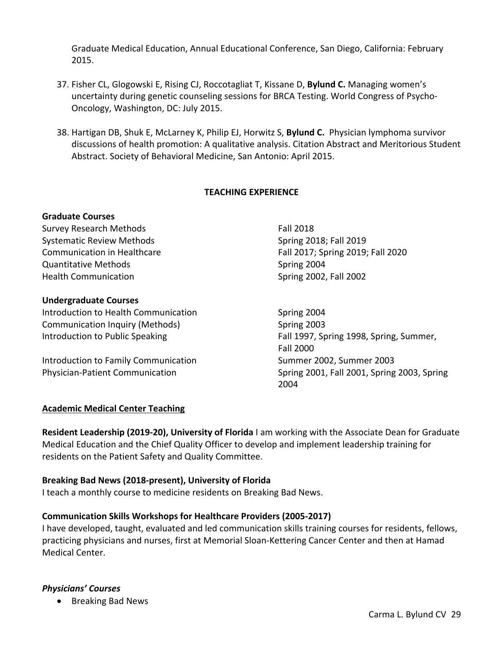Graduate Medical Education, Annual Educational Conference, San Diego, California: February 2015.

- 37. Fisher CL, Glogowski E, Rising CJ, Roccotagliat T, Kissane D, **Bylund C.** Managing women's uncertainty during genetic counseling sessions for BRCA Testing. World Congress of Psycho-Oncology, Washington, DC: July 2015.
- 38. Hartigan DB, Shuk E, McLarney K, Philip EJ, Horwitz S, **Bylund C.** Physician lymphoma survivor discussions of health promotion: A qualitative analysis. Citation Abstract and Meritorious Student Abstract. Society of Behavioral Medicine, San Antonio: April 2015.

## **TEACHING EXPERIENCE**

#### **Graduate Courses**

Survey Research Methods **Fall 2018** Systematic Review Methods Spring 2018; Fall 2019 Quantitative Methods **Spring 2004** Health Communication and Spring 2002, Fall 2002

#### **Undergraduate Courses**

Introduction to Health Communication Spring 2004 Communication Inquiry (Methods) Spring 2003

Introduction to Family Communication The Summer 2002, Summer 2003

Communication in Healthcare Fall 2017; Spring 2019; Fall 2020

Introduction to Public Speaking Fall 1997, Spring 1998, Spring, Summer, Fall 2000 Physician-Patient Communication Spring 2001, Fall 2001, Spring 2003, Spring 2003, Spring 2004

#### **Academic Medical Center Teaching**

**Resident Leadership (2019-20), University of Florida** I am working with the Associate Dean for Graduate Medical Education and the Chief Quality Officer to develop and implement leadership training for residents on the Patient Safety and Quality Committee.

#### **Breaking Bad News (2018-present), University of Florida**

I teach a monthly course to medicine residents on Breaking Bad News.

# **Communication Skills Workshops for Healthcare Providers (2005-2017)**

I have developed, taught, evaluated and led communication skills training courses for residents, fellows, practicing physicians and nurses, first at Memorial Sloan-Kettering Cancer Center and then at Hamad Medical Center.

# *Physicians' Courses*

• Breaking Bad News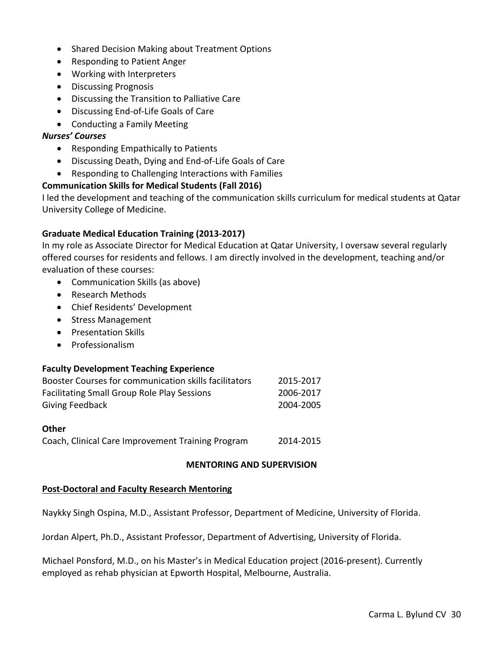- Shared Decision Making about Treatment Options
- Responding to Patient Anger
- Working with Interpreters
- Discussing Prognosis
- Discussing the Transition to Palliative Care
- Discussing End-of-Life Goals of Care
- Conducting a Family Meeting

#### *Nurses' Courses*

- Responding Empathically to Patients
- Discussing Death, Dying and End-of-Life Goals of Care
- Responding to Challenging Interactions with Families

## **Communication Skills for Medical Students (Fall 2016)**

I led the development and teaching of the communication skills curriculum for medical students at Qatar University College of Medicine.

#### **Graduate Medical Education Training (2013-2017)**

In my role as Associate Director for Medical Education at Qatar University, I oversaw several regularly offered courses for residents and fellows. I am directly involved in the development, teaching and/or evaluation of these courses:

- Communication Skills (as above)
- Research Methods
- Chief Residents' Development
- Stress Management
- Presentation Skills
- Professionalism

#### **Faculty Development Teaching Experience**

| Booster Courses for communication skills facilitators | 2015-2017 |
|-------------------------------------------------------|-----------|
| <b>Facilitating Small Group Role Play Sessions</b>    | 2006-2017 |
| Giving Feedback                                       | 2004-2005 |
|                                                       |           |

#### **Other**

| Coach, Clinical Care Improvement Training Program | 2014-2015 |
|---------------------------------------------------|-----------|
|---------------------------------------------------|-----------|

#### **MENTORING AND SUPERVISION**

#### **Post-Doctoral and Faculty Research Mentoring**

Naykky Singh Ospina, M.D., Assistant Professor, Department of Medicine, University of Florida.

Jordan Alpert, Ph.D., Assistant Professor, Department of Advertising, University of Florida.

Michael Ponsford, M.D., on his Master's in Medical Education project (2016-present). Currently employed as rehab physician at Epworth Hospital, Melbourne, Australia.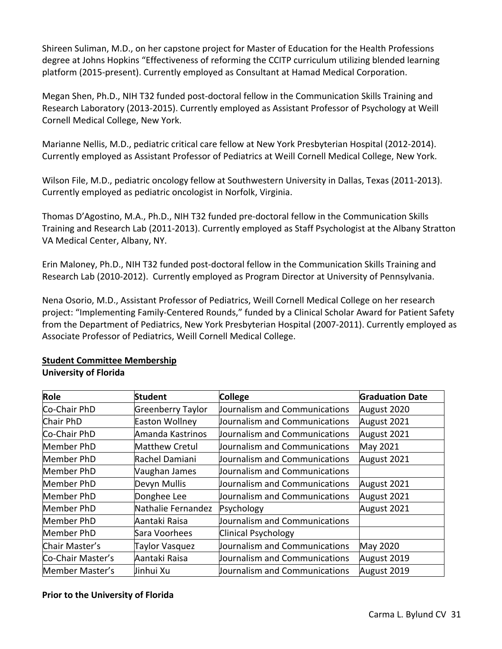Shireen Suliman, M.D., on her capstone project for Master of Education for the Health Professions degree at Johns Hopkins "Effectiveness of reforming the CCITP curriculum utilizing blended learning platform (2015-present). Currently employed as Consultant at Hamad Medical Corporation.

Megan Shen, Ph.D., NIH T32 funded post-doctoral fellow in the Communication Skills Training and Research Laboratory (2013-2015). Currently employed as Assistant Professor of Psychology at Weill Cornell Medical College, New York.

Marianne Nellis, M.D., pediatric critical care fellow at New York Presbyterian Hospital (2012-2014). Currently employed as Assistant Professor of Pediatrics at Weill Cornell Medical College, New York.

Wilson File, M.D., pediatric oncology fellow at Southwestern University in Dallas, Texas (2011-2013). Currently employed as pediatric oncologist in Norfolk, Virginia.

Thomas D'Agostino, M.A., Ph.D., NIH T32 funded pre-doctoral fellow in the Communication Skills Training and Research Lab (2011-2013). Currently employed as Staff Psychologist at the Albany Stratton VA Medical Center, Albany, NY.

Erin Maloney, Ph.D., NIH T32 funded post-doctoral fellow in the Communication Skills Training and Research Lab (2010-2012). Currently employed as Program Director at University of Pennsylvania.

Nena Osorio, M.D., Assistant Professor of Pediatrics, Weill Cornell Medical College on her research project: "Implementing Family-Centered Rounds," funded by a Clinical Scholar Award for Patient Safety from the Department of Pediatrics, New York Presbyterian Hospital (2007-2011). Currently employed as Associate Professor of Pediatrics, Weill Cornell Medical College.

| Role              | <b>Student</b>        | <b>College</b>                | <b>Graduation Date</b> |
|-------------------|-----------------------|-------------------------------|------------------------|
| Co-Chair PhD      | Greenberry Taylor     | Journalism and Communications | August 2020            |
| Chair PhD         | <b>Easton Wollney</b> | Journalism and Communications | August 2021            |
| Co-Chair PhD      | Amanda Kastrinos      | Journalism and Communications | August 2021            |
| Member PhD        | <b>Matthew Cretul</b> | Journalism and Communications | May 2021               |
| Member PhD        | Rachel Damiani        | Journalism and Communications | August 2021            |
| Member PhD        | Vaughan James         | Journalism and Communications |                        |
| Member PhD        | Devyn Mullis          | Journalism and Communications | August 2021            |
| Member PhD        | Donghee Lee           | Journalism and Communications | August 2021            |
| Member PhD        | Nathalie Fernandez    | Psychology                    | August 2021            |
| Member PhD        | Aantaki Raisa         | Journalism and Communications |                        |
| Member PhD        | Sara Voorhees         | <b>Clinical Psychology</b>    |                        |
| Chair Master's    | Taylor Vasquez        | Journalism and Communications | May 2020               |
| Co-Chair Master's | Aantaki Raisa         | Journalism and Communications | August 2019            |
| Member Master's   | Jinhui Xu             | Journalism and Communications | August 2019            |

## **Student Committee Membership University of Florida**

#### **Prior to the University of Florida**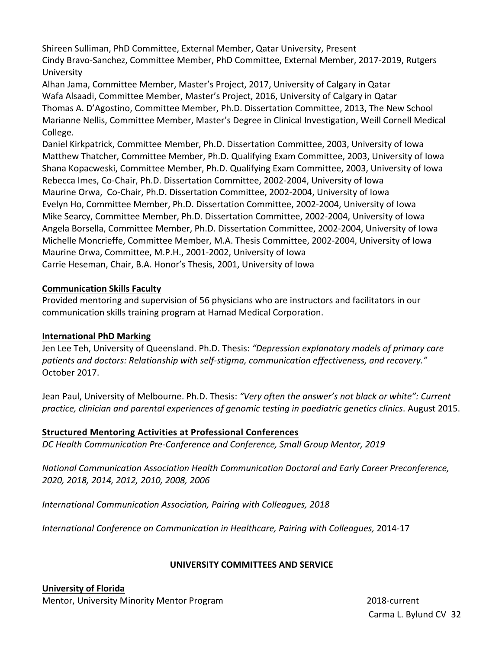Shireen Sulliman, PhD Committee, External Member, Qatar University, Present Cindy Bravo-Sanchez, Committee Member, PhD Committee, External Member, 2017-2019, Rutgers University

Alhan Jama, Committee Member, Master's Project, 2017, University of Calgary in Qatar Wafa Alsaadi, Committee Member, Master's Project, 2016, University of Calgary in Qatar Thomas A. D'Agostino, Committee Member, Ph.D. Dissertation Committee, 2013, The New School Marianne Nellis, Committee Member, Master's Degree in Clinical Investigation, Weill Cornell Medical College.

Daniel Kirkpatrick, Committee Member, Ph.D. Dissertation Committee, 2003, University of Iowa Matthew Thatcher, Committee Member, Ph.D. Qualifying Exam Committee, 2003, University of Iowa Shana Kopacweski, Committee Member, Ph.D. Qualifying Exam Committee, 2003, University of Iowa Rebecca Imes, Co-Chair, Ph.D. Dissertation Committee, 2002-2004, University of Iowa Maurine Orwa, Co-Chair, Ph.D. Dissertation Committee, 2002-2004, University of Iowa Evelyn Ho, Committee Member, Ph.D. Dissertation Committee, 2002-2004, University of Iowa Mike Searcy, Committee Member, Ph.D. Dissertation Committee, 2002-2004, University of Iowa Angela Borsella, Committee Member, Ph.D. Dissertation Committee, 2002-2004, University of Iowa Michelle Moncrieffe, Committee Member, M.A. Thesis Committee, 2002-2004, University of Iowa Maurine Orwa, Committee, M.P.H., 2001-2002, University of Iowa Carrie Heseman, Chair, B.A. Honor's Thesis, 2001, University of Iowa

# **Communication Skills Faculty**

Provided mentoring and supervision of 56 physicians who are instructors and facilitators in our communication skills training program at Hamad Medical Corporation.

# **International PhD Marking**

Jen Lee Teh, University of Queensland. Ph.D. Thesis: *"Depression explanatory models of primary care patients and doctors: Relationship with self-stigma, communication effectiveness, and recovery."* October 2017.

Jean Paul, University of Melbourne. Ph.D. Thesis: *"Very often the answer's not black or white": Current practice, clinician and parental experiences of genomic testing in paediatric genetics clinics*. August 2015.

# **Structured Mentoring Activities at Professional Conferences**

*DC Health Communication Pre-Conference and Conference, Small Group Mentor, 2019*

*National Communication Association Health Communication Doctoral and Early Career Preconference, 2020, 2018, 2014, 2012, 2010, 2008, 2006*

*International Communication Association, Pairing with Colleagues, 2018*

*International Conference on Communication in Healthcare, Pairing with Colleagues,* 2014-17

# **UNIVERSITY COMMITTEES AND SERVICE**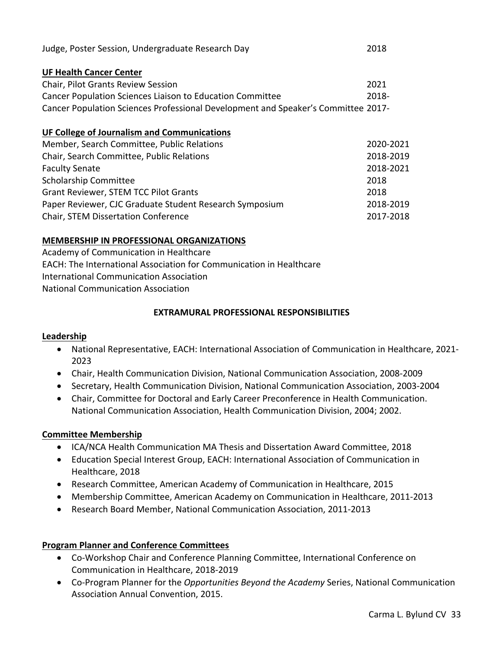| Judge, Poster Session, Undergraduate Research Day<br>2018                         |           |  |
|-----------------------------------------------------------------------------------|-----------|--|
| <b>UF Health Cancer Center</b>                                                    |           |  |
| <b>Chair, Pilot Grants Review Session</b>                                         | 2021      |  |
| Cancer Population Sciences Liaison to Education Committee                         | 2018-     |  |
| Cancer Population Sciences Professional Development and Speaker's Committee 2017- |           |  |
| <b>UF College of Journalism and Communications</b>                                |           |  |
| Member, Search Committee, Public Relations                                        | 2020-2021 |  |
| Chair, Search Committee, Public Relations                                         | 2018-2019 |  |
| <b>Faculty Senate</b>                                                             | 2018-2021 |  |
| <b>Scholarship Committee</b>                                                      | 2018      |  |
| <b>Grant Reviewer, STEM TCC Pilot Grants</b>                                      | 2018      |  |
| Paper Reviewer, CJC Graduate Student Research Symposium                           | 2018-2019 |  |
| <b>Chair, STEM Dissertation Conference</b>                                        | 2017-2018 |  |

## **MEMBERSHIP IN PROFESSIONAL ORGANIZATIONS**

Academy of Communication in Healthcare EACH: The International Association for Communication in Healthcare International Communication Association National Communication Association

## **EXTRAMURAL PROFESSIONAL RESPONSIBILITIES**

#### **Leadership**

- National Representative, EACH: International Association of Communication in Healthcare, 2021- 2023
- Chair, Health Communication Division, National Communication Association, 2008-2009
- Secretary, Health Communication Division, National Communication Association, 2003-2004
- Chair, Committee for Doctoral and Early Career Preconference in Health Communication. National Communication Association, Health Communication Division, 2004; 2002.

#### **Committee Membership**

- ICA/NCA Health Communication MA Thesis and Dissertation Award Committee, 2018
- Education Special Interest Group, EACH: International Association of Communication in Healthcare, 2018
- Research Committee, American Academy of Communication in Healthcare, 2015
- Membership Committee, American Academy on Communication in Healthcare, 2011-2013
- Research Board Member, National Communication Association, 2011-2013

# **Program Planner and Conference Committees**

- Co-Workshop Chair and Conference Planning Committee, International Conference on Communication in Healthcare, 2018-2019
- Co-Program Planner for the *Opportunities Beyond the Academy* Series, National Communication Association Annual Convention, 2015.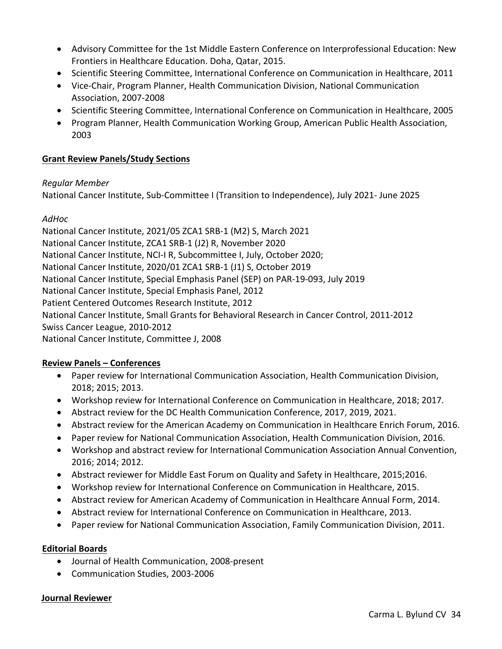- Advisory Committee for the 1st Middle Eastern Conference on Interprofessional Education: New Frontiers in Healthcare Education. Doha, Qatar, 2015.
- Scientific Steering Committee, International Conference on Communication in Healthcare, 2011
- Vice-Chair, Program Planner, Health Communication Division, National Communication Association, 2007-2008
- Scientific Steering Committee, International Conference on Communication in Healthcare, 2005
- Program Planner, Health Communication Working Group, American Public Health Association, 2003

## **Grant Review Panels/Study Sections**

## *Regular Member*

National Cancer Institute, Sub-Committee I (Transition to Independence), July 2021- June 2025

# *AdHoc*

National Cancer Institute, 2021/05 ZCA1 SRB-1 (M2) S, March 2021 National Cancer Institute, ZCA1 SRB-1 (J2) R, November 2020 National Cancer Institute, NCI-I R, Subcommittee I, July, October 2020; National Cancer Institute, 2020/01 ZCA1 SRB-1 (J1) S, October 2019 National Cancer Institute, Special Emphasis Panel (SEP) on PAR-19-093, July 2019 National Cancer Institute, Special Emphasis Panel, 2012 Patient Centered Outcomes Research Institute, 2012 National Cancer Institute, Small Grants for Behavioral Research in Cancer Control, 2011-2012 Swiss Cancer League, 2010-2012 National Cancer Institute, Committee J, 2008

# **Review Panels – Conferences**

- Paper review for International Communication Association, Health Communication Division, 2018; 2015; 2013.
- Workshop review for International Conference on Communication in Healthcare, 2018; 2017.
- Abstract review for the DC Health Communication Conference, 2017, 2019, 2021.
- Abstract review for the American Academy on Communication in Healthcare Enrich Forum, 2016.
- Paper review for National Communication Association, Health Communication Division, 2016.
- Workshop and abstract review for International Communication Association Annual Convention, 2016; 2014; 2012.
- Abstract reviewer for Middle East Forum on Quality and Safety in Healthcare, 2015;2016.
- Workshop review for International Conference on Communication in Healthcare, 2015.
- Abstract review for American Academy of Communication in Healthcare Annual Form, 2014.
- Abstract review for International Conference on Communication in Healthcare, 2013.
- Paper review for National Communication Association, Family Communication Division, 2011.

# **Editorial Boards**

- Journal of Health Communication, 2008-present
- Communication Studies, 2003-2006

#### **Journal Reviewer**